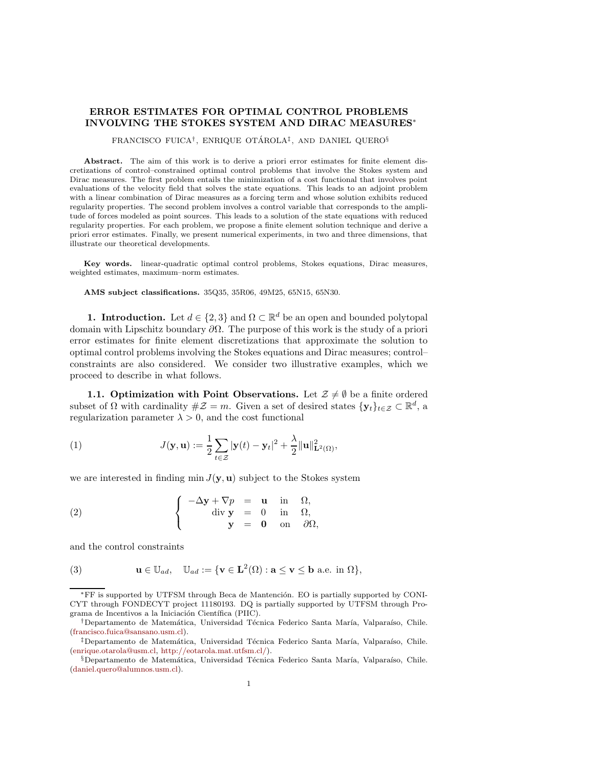## ERROR ESTIMATES FOR OPTIMAL CONTROL PROBLEMS INVOLVING THE STOKES SYSTEM AND DIRAC MEASURES<sup>∗</sup>

FRANCISCO FUICA<sup>†</sup>, ENRIQUE OTÁROLA<sup>‡</sup>, AND DANIEL QUERO<sup>§</sup>

Abstract. The aim of this work is to derive a priori error estimates for finite element discretizations of control–constrained optimal control problems that involve the Stokes system and Dirac measures. The first problem entails the minimization of a cost functional that involves point evaluations of the velocity field that solves the state equations. This leads to an adjoint problem with a linear combination of Dirac measures as a forcing term and whose solution exhibits reduced regularity properties. The second problem involves a control variable that corresponds to the amplitude of forces modeled as point sources. This leads to a solution of the state equations with reduced regularity properties. For each problem, we propose a finite element solution technique and derive a priori error estimates. Finally, we present numerical experiments, in two and three dimensions, that illustrate our theoretical developments.

Key words. linear-quadratic optimal control problems, Stokes equations, Dirac measures, weighted estimates, maximum–norm estimates.

AMS subject classifications. 35Q35, 35R06, 49M25, 65N15, 65N30.

**1. Introduction.** Let  $d \in \{2,3\}$  and  $\Omega \subset \mathbb{R}^d$  be an open and bounded polytopal domain with Lipschitz boundary  $\partial\Omega$ . The purpose of this work is the study of a priori error estimates for finite element discretizations that approximate the solution to optimal control problems involving the Stokes equations and Dirac measures; control– constraints are also considered. We consider two illustrative examples, which we proceed to describe in what follows.

<span id="page-0-2"></span>1.1. Optimization with Point Observations. Let  $\mathcal{Z} \neq \emptyset$  be a finite ordered subset of  $\Omega$  with cardinality  $\#\mathcal{Z}=m$ . Given a set of desired states  $\{y_t\}_{t\in\mathcal{Z}}\subset\mathbb{R}^d$ , a regularization parameter  $\lambda > 0$ , and the cost functional

<span id="page-0-0"></span>(1) 
$$
J(\mathbf{y}, \mathbf{u}) := \frac{1}{2} \sum_{t \in \mathcal{Z}} |\mathbf{y}(t) - \mathbf{y}_t|^2 + \frac{\lambda}{2} ||\mathbf{u}||_{\mathbf{L}^2(\Omega)}^2,
$$

we are interested in finding min  $J(\mathbf{y}, \mathbf{u})$  subject to the Stokes system

(2) 
$$
\begin{cases}\n-\Delta \mathbf{y} + \nabla p = \mathbf{u} \text{ in } \Omega, \\
\text{div } \mathbf{y} = 0 \text{ in } \Omega, \\
\mathbf{y} = \mathbf{0} \text{ on } \partial \Omega,\n\end{cases}
$$

and the control constraints

<span id="page-0-1"></span>(3) 
$$
\mathbf{u} \in \mathbb{U}_{ad}, \quad \mathbb{U}_{ad} := \{ \mathbf{v} \in \mathbf{L}^2(\Omega) : \mathbf{a} \leq \mathbf{v} \leq \mathbf{b} \text{ a.e. in } \Omega \},
$$

<sup>\*</sup>FF is supported by UTFSM through Beca de Mantención. EO is partially supported by CONI-CYT through FONDECYT project 11180193. DQ is partially supported by UTFSM through Programa de Incentivos a la Iniciación Científica (PIIC).

<sup>&</sup>lt;sup>†</sup>Departamento de Matemática, Universidad Técnica Federico Santa María, Valparaíso, Chile. [\(francisco.fuica@sansano.usm.cl\)](mailto:francisco.fuica@sansano.usm.cl).

<sup>&</sup>lt;sup>‡</sup>Departamento de Matemática, Universidad Técnica Federico Santa María, Valparaíso, Chile. [\(enrique.otarola@usm.cl,](mailto:enrique.otarola@usm.cl) [http://eotarola.mat.utfsm.cl/\)](http://eotarola.mat.utfsm.cl/).

<sup>§</sup>Departamento de Matemática, Universidad Técnica Federico Santa María, Valparaíso, Chile. [\(daniel.quero@alumnos.usm.cl\)](mailto:daniel.quero@alumnos.usm.cl).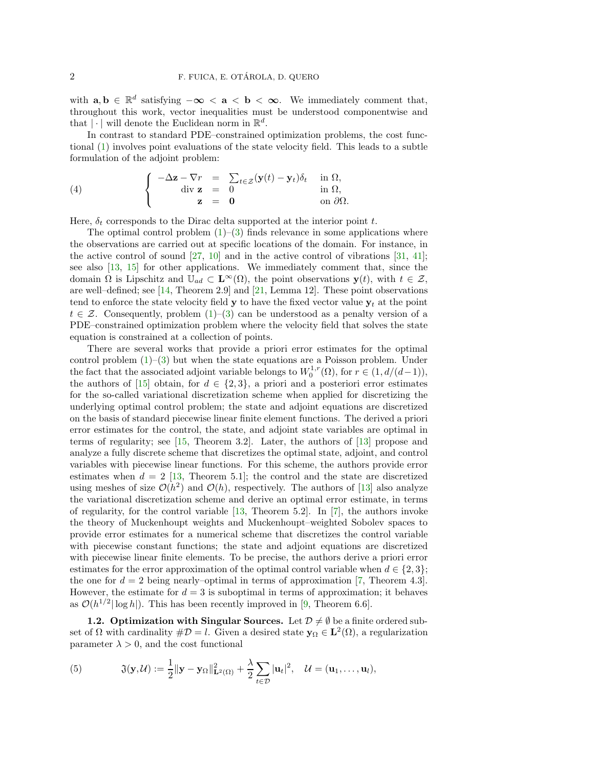with  $\mathbf{a}, \mathbf{b} \in \mathbb{R}^d$  satisfying  $-\infty < \mathbf{a} < \mathbf{b} < \infty$ . We immediately comment that, throughout this work, vector inequalities must be understood componentwise and that  $|\cdot|$  will denote the Euclidean norm in  $\mathbb{R}^d$ .

In contrast to standard PDE–constrained optimization problems, the cost functional [\(1\)](#page-0-0) involves point evaluations of the state velocity field. This leads to a subtle formulation of the adjoint problem:

<span id="page-1-1"></span>(4) 
$$
\begin{cases}\n-\Delta \mathbf{z} - \nabla r = \sum_{t \in \mathcal{Z}} (\mathbf{y}(t) - \mathbf{y}_t) \delta_t & \text{in } \Omega, \\
\text{div } \mathbf{z} = 0 & \text{in } \Omega, \\
\mathbf{z} = \mathbf{0} & \text{on } \partial \Omega.\n\end{cases}
$$

Here,  $\delta_t$  corresponds to the Dirac delta supported at the interior point  $t.$ 

The optimal control problem  $(1)-(3)$  $(1)-(3)$  finds relevance in some applications where the observations are carried out at specific locations of the domain. For instance, in the active control of sound  $[27, 10]$  $[27, 10]$  and in the active control of vibrations  $[31, 41]$  $[31, 41]$ ; see also [\[13,](#page-25-1) [15\]](#page-26-3) for other applications. We immediately comment that, since the domain  $\Omega$  is Lipschitz and  $\mathbb{U}_{ad} \subset \mathbf{L}^{\infty}(\Omega)$ , the point observations  $\mathbf{y}(t)$ , with  $t \in \mathcal{Z}$ , are well–defined; see [\[14,](#page-25-2) Theorem 2.9] and [\[21,](#page-26-4) Lemma 12]. These point observations tend to enforce the state velocity field  $y$  to have the fixed vector value  $y_t$  at the point  $t \in \mathcal{Z}$ . Consequently, problem [\(1\)](#page-0-0)–[\(3\)](#page-0-1) can be understood as a penalty version of a PDE–constrained optimization problem where the velocity field that solves the state equation is constrained at a collection of points.

There are several works that provide a priori error estimates for the optimal control problem  $(1)$ – $(3)$  but when the state equations are a Poisson problem. Under the fact that the associated adjoint variable belongs to  $W_0^{1,r}(\Omega)$ , for  $r \in (1, d/(d-1)),$ the authors of [\[15\]](#page-26-3) obtain, for  $d \in \{2,3\}$ , a priori and a posteriori error estimates for the so-called variational discretization scheme when applied for discretizing the underlying optimal control problem; the state and adjoint equations are discretized on the basis of standard piecewise linear finite element functions. The derived a priori error estimates for the control, the state, and adjoint state variables are optimal in terms of regularity; see [\[15,](#page-26-3) Theorem 3.2]. Later, the authors of [\[13\]](#page-25-1) propose and analyze a fully discrete scheme that discretizes the optimal state, adjoint, and control variables with piecewise linear functions. For this scheme, the authors provide error estimates when  $d = 2 \; [13, \; \text{Theorem 5.1}];$  $d = 2 \; [13, \; \text{Theorem 5.1}];$  $d = 2 \; [13, \; \text{Theorem 5.1}];$  the control and the state are discretized using meshes of size  $\mathcal{O}(h^2)$  and  $\mathcal{O}(h)$ , respectively. The authors of [\[13\]](#page-25-1) also analyze the variational discretization scheme and derive an optimal error estimate, in terms of regularity, for the control variable [\[13,](#page-25-1) Theorem 5.2]. In [\[7\]](#page-25-3), the authors invoke the theory of Muckenhoupt weights and Muckenhoupt–weighted Sobolev spaces to provide error estimates for a numerical scheme that discretizes the control variable with piecewise constant functions; the state and adjoint equations are discretized with piecewise linear finite elements. To be precise, the authors derive a priori error estimates for the error approximation of the optimal control variable when  $d \in \{2,3\}$ ; the one for  $d = 2$  being nearly–optimal in terms of approximation [\[7,](#page-25-3) Theorem 4.3]. However, the estimate for  $d = 3$  is suboptimal in terms of approximation; it behaves as  $\mathcal{O}(h^{1/2}|\log h|)$ . This has been recently improved in [\[9,](#page-25-4) Theorem 6.6].

<span id="page-1-2"></span>1.2. Optimization with Singular Sources. Let  $\mathcal{D} \neq \emptyset$  be a finite ordered subset of  $\Omega$  with cardinality  $\#\mathcal{D} = l$ . Given a desired state  $\mathbf{y}_{\Omega} \in \mathbf{L}^{2}(\Omega)$ , a regularization parameter  $\lambda > 0$ , and the cost functional

<span id="page-1-0"></span>(5) 
$$
\mathfrak{J}(\mathbf{y},\mathcal{U}):=\frac{1}{2}\|\mathbf{y}-\mathbf{y}_{\Omega}\|_{\mathbf{L}^2(\Omega)}^2+\frac{\lambda}{2}\sum_{t\in\mathcal{D}}|\mathbf{u}_t|^2, \quad \mathcal{U}=(\mathbf{u}_1,\ldots,\mathbf{u}_l),
$$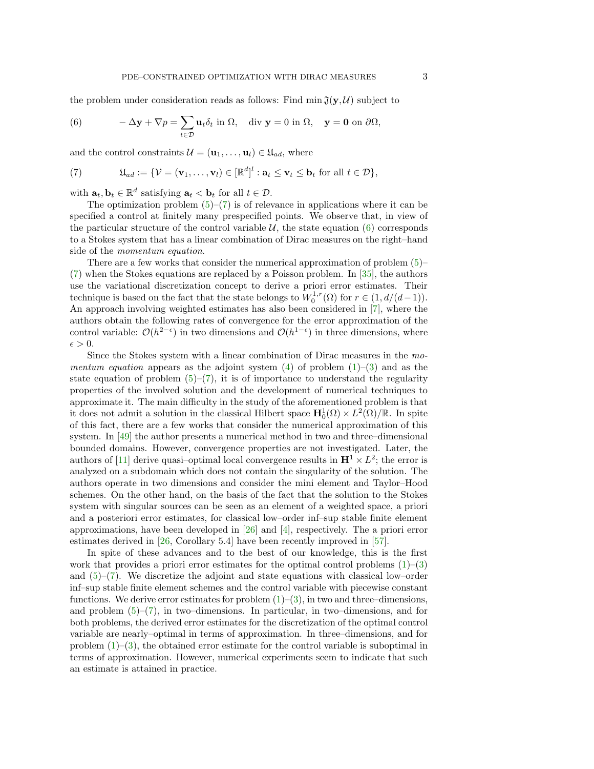the problem under consideration reads as follows: Find  $\min \mathfrak{J}(y, \mathcal{U})$  subject to

<span id="page-2-1"></span>(6) 
$$
-\Delta \mathbf{y} + \nabla p = \sum_{t \in \mathcal{D}} \mathbf{u}_t \delta_t \text{ in } \Omega, \text{ div } \mathbf{y} = 0 \text{ in } \Omega, \mathbf{y} = \mathbf{0} \text{ on } \partial \Omega,
$$

and the control constraints  $\mathcal{U} = (\mathbf{u}_1, \dots, \mathbf{u}_l) \in \mathfrak{U}_{ad}$ , where

<span id="page-2-0"></span>(7) 
$$
\mathfrak{U}_{ad} := \{ \mathcal{V} = (\mathbf{v}_1, \dots, \mathbf{v}_l) \in [\mathbb{R}^d]^l : \mathbf{a}_t \leq \mathbf{v}_t \leq \mathbf{b}_t \text{ for all } t \in \mathcal{D} \},
$$

with  $\mathbf{a}_t, \mathbf{b}_t \in \mathbb{R}^d$  satisfying  $\mathbf{a}_t < \mathbf{b}_t$  for all  $t \in \mathcal{D}$ .

The optimization problem  $(5)$ – $(7)$  is of relevance in applications where it can be specified a control at finitely many prespecified points. We observe that, in view of the particular structure of the control variable  $\mathcal{U}$ , the state equation [\(6\)](#page-2-1) corresponds to a Stokes system that has a linear combination of Dirac measures on the right–hand side of the momentum equation.

There are a few works that consider the numerical approximation of problem  $(5)$ [\(7\)](#page-2-0) when the Stokes equations are replaced by a Poisson problem. In [\[35\]](#page-26-5), the authors use the variational discretization concept to derive a priori error estimates. Their technique is based on the fact that the state belongs to  $W_0^{1,r}(\Omega)$  for  $r \in (1, d/(d-1))$ . An approach involving weighted estimates has also been considered in [\[7\]](#page-25-3), where the authors obtain the following rates of convergence for the error approximation of the control variable:  $\mathcal{O}(h^{2-\epsilon})$  in two dimensions and  $\mathcal{O}(h^{1-\epsilon})$  in three dimensions, where  $\epsilon > 0$ .

Since the Stokes system with a linear combination of Dirac measures in the momentum equation appears as the adjoint system  $(4)$  of problem  $(1)$ – $(3)$  and as the state equation of problem  $(5)-(7)$  $(5)-(7)$ , it is of importance to understand the regularity properties of the involved solution and the development of numerical techniques to approximate it. The main difficulty in the study of the aforementioned problem is that it does not admit a solution in the classical Hilbert space  $\mathbf{H}_0^1(\Omega) \times L^2(\Omega)/\mathbb{R}$ . In spite of this fact, there are a few works that consider the numerical approximation of this system. In [\[49\]](#page-27-0) the author presents a numerical method in two and three–dimensional bounded domains. However, convergence properties are not investigated. Later, the authors of [\[11\]](#page-25-5) derive quasi-optimal local convergence results in  $\mathbf{H}^1 \times L^2$ ; the error is analyzed on a subdomain which does not contain the singularity of the solution. The authors operate in two dimensions and consider the mini element and Taylor–Hood schemes. On the other hand, on the basis of the fact that the solution to the Stokes system with singular sources can be seen as an element of a weighted space, a priori and a posteriori error estimates, for classical low–order inf–sup stable finite element approximations, have been developed in [\[26\]](#page-26-6) and [\[4\]](#page-25-6), respectively. The a priori error estimates derived in [\[26,](#page-26-6) Corollary 5.4] have been recently improved in [\[57\]](#page-27-1).

In spite of these advances and to the best of our knowledge, this is the first work that provides a priori error estimates for the optimal control problems  $(1)$ – $(3)$ and  $(5)-(7)$  $(5)-(7)$ . We discretize the adjoint and state equations with classical low–order inf–sup stable finite element schemes and the control variable with piecewise constant functions. We derive error estimates for problem  $(1)-(3)$  $(1)-(3)$ , in two and three–dimensions, and problem  $(5)-(7)$  $(5)-(7)$ , in two–dimensions. In particular, in two–dimensions, and for both problems, the derived error estimates for the discretization of the optimal control variable are nearly–optimal in terms of approximation. In three–dimensions, and for problem  $(1)$ – $(3)$ , the obtained error estimate for the control variable is suboptimal in terms of approximation. However, numerical experiments seem to indicate that such an estimate is attained in practice.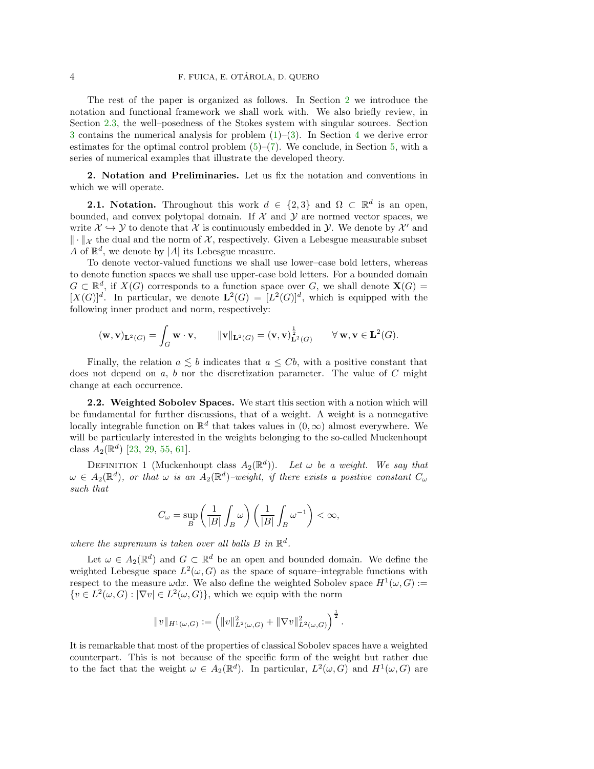The rest of the paper is organized as follows. In Section [2](#page-3-0) we introduce the notation and functional framework we shall work with. We also briefly review, in Section [2.3,](#page-4-0) the well–posedness of the Stokes system with singular sources. Section [3](#page-6-0) contains the numerical analysis for problem  $(1)-(3)$  $(1)-(3)$ . In Section [4](#page-16-0) we derive error estimates for the optimal control problem  $(5)-(7)$  $(5)-(7)$ . We conclude, in Section [5,](#page-23-0) with a series of numerical examples that illustrate the developed theory.

<span id="page-3-0"></span>2. Notation and Preliminaries. Let us fix the notation and conventions in which we will operate.

**2.1. Notation.** Throughout this work  $d \in \{2,3\}$  and  $\Omega \subset \mathbb{R}^d$  is an open, bounded, and convex polytopal domain. If  $\mathcal X$  and  $\mathcal Y$  are normed vector spaces, we write  $\mathcal{X} \hookrightarrow \mathcal{Y}$  to denote that  $\mathcal{X}$  is continuously embedded in  $\mathcal{Y}$ . We denote by  $\mathcal{X}'$  and  $\|\cdot\|_{\mathcal{X}}$  the dual and the norm of X, respectively. Given a Lebesgue measurable subset  $A$  of  $\mathbb{R}^d$ , we denote by |A| its Lebesgue measure.

To denote vector-valued functions we shall use lower–case bold letters, whereas to denote function spaces we shall use upper-case bold letters. For a bounded domain  $G \subset \mathbb{R}^d$ , if  $X(G)$  corresponds to a function space over G, we shall denote  $\mathbf{X}(G)$  =  $[X(G)]^d$ . In particular, we denote  $\mathbf{L}^2(G) = [L^2(G)]^d$ , which is equipped with the following inner product and norm, respectively:

$$
(\mathbf{w}, \mathbf{v})_{\mathbf{L}^2(G)} = \int_G \mathbf{w} \cdot \mathbf{v}, \qquad \|\mathbf{v}\|_{\mathbf{L}^2(G)} = (\mathbf{v}, \mathbf{v})_{\mathbf{L}^2(G)}^{\frac{1}{2}} \qquad \forall \mathbf{w}, \mathbf{v} \in \mathbf{L}^2(G).
$$

Finally, the relation  $a \leq b$  indicates that  $a \leq Cb$ , with a positive constant that does not depend on  $a, b$  nor the discretization parameter. The value of  $C$  might change at each occurrence.

2.2. Weighted Sobolev Spaces. We start this section with a notion which will be fundamental for further discussions, that of a weight. A weight is a nonnegative locally integrable function on  $\mathbb{R}^d$  that takes values in  $(0, \infty)$  almost everywhere. We will be particularly interested in the weights belonging to the so-called Muckenhoupt class  $A_2(\mathbb{R}^d)$  [\[23,](#page-26-7) [29,](#page-26-8) [55,](#page-27-2) [61\]](#page-27-3).

DEFINITION 1 (Muckenhoupt class  $A_2(\mathbb{R}^d)$ ). Let  $\omega$  be a weight. We say that  $\omega \in A_2(\mathbb{R}^d)$ , or that  $\omega$  is an  $A_2(\mathbb{R}^d)$ -weight, if there exists a positive constant  $C_{\omega}$ such that

$$
C_{\omega}=\sup_{B}\left(\frac{1}{|B|}\int_B\omega\right)\left(\frac{1}{|B|}\int_B\omega^{-1}\right)<\infty,
$$

where the supremum is taken over all balls  $B$  in  $\mathbb{R}^d$ .

Let  $\omega \in A_2(\mathbb{R}^d)$  and  $G \subset \mathbb{R}^d$  be an open and bounded domain. We define the weighted Lebesgue space  $L^2(\omega, G)$  as the space of square–integrable functions with respect to the measure  $\omega dx$ . We also define the weighted Sobolev space  $H^1(\omega, G) :=$  $\{v \in L^2(\omega, G) : |\nabla v| \in L^2(\omega, G)\},\$  which we equip with the norm

$$
||v||_{H^1(\omega,G)} := \left( ||v||^2_{L^2(\omega,G)} + ||\nabla v||^2_{L^2(\omega,G)} \right)^{\frac{1}{2}}
$$

.

It is remarkable that most of the properties of classical Sobolev spaces have a weighted counterpart. This is not because of the specific form of the weight but rather due to the fact that the weight  $\omega \in A_2(\mathbb{R}^d)$ . In particular,  $L^2(\omega, G)$  and  $H^1(\omega, G)$  are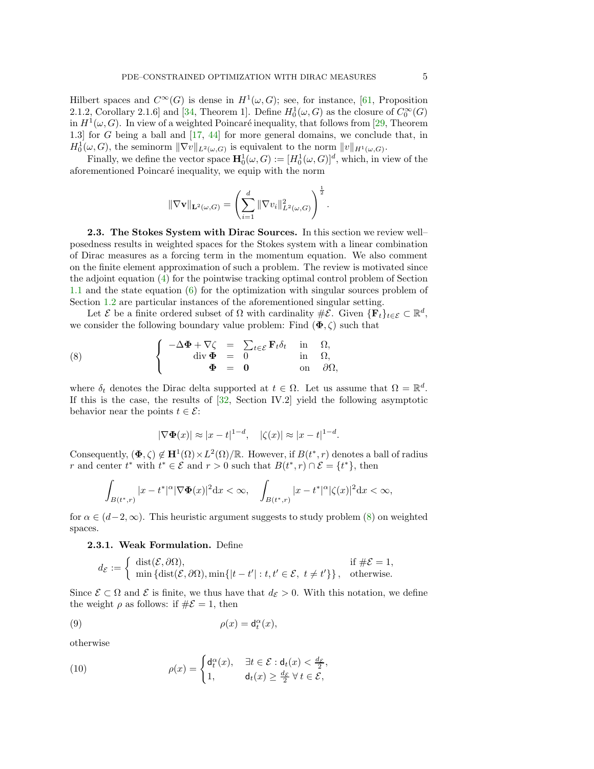Hilbert spaces and  $C^{\infty}(G)$  is dense in  $H^1(\omega, G)$ ; see, for instance, [\[61,](#page-27-3) Proposition 2.1.2, Corollary 2.1.6 and [\[34,](#page-26-9) Theorem 1]. Define  $H_0^1(\omega, G)$  as the closure of  $C_0^{\infty}(G)$ in  $H^1(\omega, G)$ . In view of a weighted Poincaré inequality, that follows from [\[29,](#page-26-8) Theorem 1.3] for G being a ball and [\[17,](#page-26-10) [44\]](#page-26-11) for more general domains, we conclude that, in  $H_0^1(\omega, G)$ , the seminorm  $\|\nabla v\|_{L^2(\omega, G)}$  is equivalent to the norm  $||v||_{H^1(\omega, G)}$ .

Finally, we define the vector space  $\mathbf{H}_0^1(\omega, G) := [H_0^1(\omega, G)]^d$ , which, in view of the aforementioned Poincaré inequality, we equip with the norm

$$
\|\nabla \mathbf{v}\|_{\mathbf{L}^2(\omega,G)} = \left(\sum_{i=1}^d \|\nabla v_i\|_{L^2(\omega,G)}^2\right)^{\frac{1}{2}}.
$$

<span id="page-4-0"></span>2.3. The Stokes System with Dirac Sources. In this section we review well– posedness results in weighted spaces for the Stokes system with a linear combination of Dirac measures as a forcing term in the momentum equation. We also comment on the finite element approximation of such a problem. The review is motivated since the adjoint equation [\(4\)](#page-1-1) for the pointwise tracking optimal control problem of Section [1.1](#page-0-2) and the state equation [\(6\)](#page-2-1) for the optimization with singular sources problem of Section [1.2](#page-1-2) are particular instances of the aforementioned singular setting.

Let  $\mathcal E$  be a finite ordered subset of  $\Omega$  with cardinality  $\#\mathcal E$ . Given  $\{\mathbf F_t\}_{t\in\mathcal E}\subset\mathbb R^d$ , we consider the following boundary value problem: Find  $(\Phi, \zeta)$  such that

(8) 
$$
\begin{cases}\n-\Delta \Phi + \nabla \zeta = \sum_{t \in \mathcal{E}} \mathbf{F}_t \delta_t & \text{in} \quad \Omega, \\
\text{div } \Phi = 0 & \text{in} \quad \Omega, \\
\Phi = 0 & \text{on} \quad \partial \Omega,\n\end{cases}
$$

where  $\delta_t$  denotes the Dirac delta supported at  $t \in \Omega$ . Let us assume that  $\Omega = \mathbb{R}^d$ . If this is the case, the results of  $[32,$  Section IV.2] yield the following asymptotic behavior near the points  $t \in \mathcal{E}$ :

<span id="page-4-1"></span>
$$
|\nabla \Phi(x)| \approx |x - t|^{1 - d}, \quad |\zeta(x)| \approx |x - t|^{1 - d}.
$$

Consequently,  $(\Phi, \zeta) \notin H^1(\Omega) \times L^2(\Omega)/\mathbb{R}$ . However, if  $B(t^*, r)$  denotes a ball of radius r and center  $t^*$  with  $t^* \in \mathcal{E}$  and  $r > 0$  such that  $B(t^*, r) \cap \mathcal{E} = \{t^*\}$ , then

$$
\int_{B(t^*,r)} |x-t^*|^\alpha |\nabla \Phi(x)|^2 \mathrm{d}x < \infty, \quad \int_{B(t^*,r)} |x-t^*|^\alpha |\zeta(x)|^2 \mathrm{d}x < \infty,
$$

<span id="page-4-4"></span>for  $\alpha \in (d-2,\infty)$ . This heuristic argument suggests to study problem [\(8\)](#page-4-1) on weighted spaces.

## 2.3.1. Weak Formulation. Define

<span id="page-4-2"></span>
$$
d_{\mathcal{E}} := \begin{cases} \operatorname{dist}(\mathcal{E}, \partial \Omega), & \text{if } \#\mathcal{E} = 1, \\ \min \{ \operatorname{dist}(\mathcal{E}, \partial \Omega), \min \{ |t - t'| : t, t' \in \mathcal{E}, t \neq t' \} \}, & \text{otherwise.} \end{cases}
$$

Since  $\mathcal{E} \subset \Omega$  and  $\mathcal{E}$  is finite, we thus have that  $d_{\mathcal{E}} > 0$ . With this notation, we define the weight  $\rho$  as follows: if  $\#\mathcal{E} = 1$ , then

(9) 
$$
\rho(x) = d_t^{\alpha}(x),
$$

otherwise

<span id="page-4-3"></span>(10) 
$$
\rho(x) = \begin{cases} d_t^{\alpha}(x), & \exists t \in \mathcal{E} : d_t(x) < \frac{d_{\mathcal{E}}}{2}, \\ 1, & d_t(x) \ge \frac{d_{\mathcal{E}}}{2} \forall t \in \mathcal{E}, \end{cases}
$$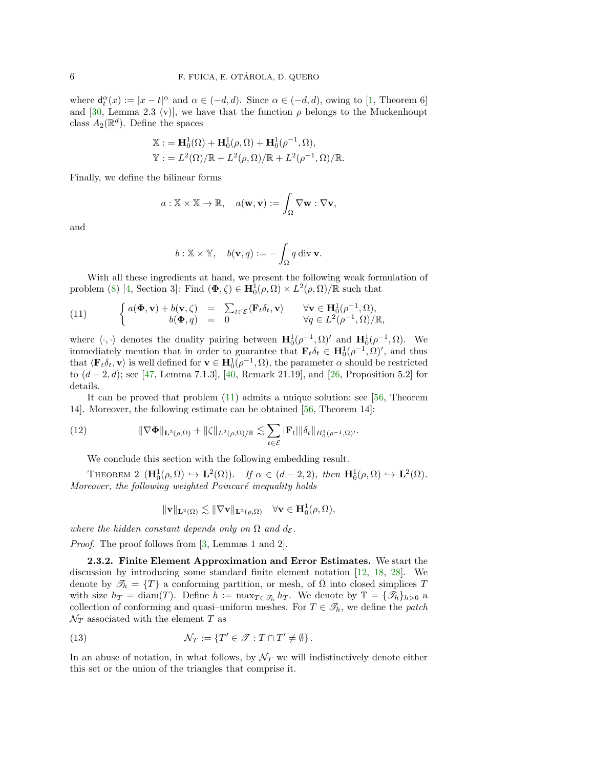where  $d_t^{\alpha}(x) := |x - t|^{\alpha}$  and  $\alpha \in (-d, d)$ . Since  $\alpha \in (-d, d)$ , owing to [\[1,](#page-25-7) Theorem 6] and [\[30,](#page-26-13) Lemma 2.3 (v)], we have that the function  $\rho$  belongs to the Muckenhoupt class  $A_2(\mathbb{R}^d)$ . Define the spaces

$$
\mathbb{X} := \mathbf{H}_0^1(\Omega) + \mathbf{H}_0^1(\rho, \Omega) + \mathbf{H}_0^1(\rho^{-1}, \Omega),
$$
  

$$
\mathbb{Y} := L^2(\Omega)/\mathbb{R} + L^2(\rho, \Omega)/\mathbb{R} + L^2(\rho^{-1}, \Omega)/\mathbb{R}.
$$

Finally, we define the bilinear forms

$$
a: \mathbb{X} \times \mathbb{X} \to \mathbb{R}, \quad a(\mathbf{w}, \mathbf{v}) := \int_{\Omega} \nabla \mathbf{w} : \nabla \mathbf{v},
$$

and

$$
b: \mathbb{X} \times \mathbb{Y}, \quad b(\mathbf{v}, q) := -\int_{\Omega} q \, \mathrm{div} \, \mathbf{v}.
$$

With all these ingredients at hand, we present the following weak formulation of problem [\(8\)](#page-4-1) [\[4,](#page-25-6) Section 3]: Find  $(\Phi, \zeta) \in \mathbf{H}_{0}^{1}(\rho, \Omega) \times L^{2}(\rho, \Omega)/\mathbb{R}$  such that

<span id="page-5-0"></span>(11) 
$$
\begin{cases} a(\Phi, \mathbf{v}) + b(\mathbf{v}, \zeta) = \sum_{t \in \mathcal{E}} \langle \mathbf{F}_t \delta_t, \mathbf{v} \rangle & \forall \mathbf{v} \in \mathbf{H}_0^1(\rho^{-1}, \Omega), \\ b(\Phi, q) = 0 & \forall q \in L^2(\rho^{-1}, \Omega)/\mathbb{R}, \end{cases}
$$

where  $\langle \cdot, \cdot \rangle$  denotes the duality pairing between  $\mathbf{H}_0^1(\rho^{-1}, \Omega)'$  and  $\mathbf{H}_0^1(\rho^{-1}, \Omega)$ . We immediately mention that in order to guarantee that  $\mathbf{F}_t \delta_t \in \mathbf{H}_0^1(\rho^{-1}, \Omega)'$ , and thus that  $\langle \mathbf{F}_t \delta_t, \mathbf{v} \rangle$  is well defined for  $\mathbf{v} \in \mathbf{H}_0^1(\rho^{-1}, \Omega)$ , the parameter  $\alpha$  should be restricted to  $(d − 2, d)$ ; see [\[47,](#page-27-4) Lemma 7.1.3], [\[40,](#page-26-14) Remark 21.19], and [\[26,](#page-26-6) Proposition 5.2] for details.

It can be proved that problem  $(11)$  admits a unique solution; see [\[56,](#page-27-5) Theorem 14]. Moreover, the following estimate can be obtained [\[56,](#page-27-5) Theorem 14]:

(12) 
$$
\|\nabla \Phi\|_{\mathbf{L}^2(\rho,\Omega)} + \|\zeta\|_{L^2(\rho,\Omega)/\mathbb{R}} \lesssim \sum_{t \in \mathcal{E}} |\mathbf{F}_t| \|\delta_t\|_{H_0^1(\rho^{-1},\Omega)'}.
$$

We conclude this section with the following embedding result.

<span id="page-5-1"></span>THEOREM 2  $(\mathbf{H}_0^1(\rho,\Omega) \hookrightarrow \mathbf{L}^2(\Omega))$ . If  $\alpha \in (d-2,2)$ , then  $\mathbf{H}_0^1(\rho,\Omega) \hookrightarrow \mathbf{L}^2(\Omega)$ . Moreover, the following weighted Poincaré inequality holds

$$
\|\mathbf{v}\|_{\mathbf{L}^2(\Omega)} \lesssim \|\nabla \mathbf{v}\|_{\mathbf{L}^2(\rho,\Omega)} \quad \forall \mathbf{v} \in \mathbf{H}_0^1(\rho,\Omega),
$$

where the hidden constant depends only on  $\Omega$  and  $d_{\mathcal{E}}$ .

Proof. The proof follows from [\[3,](#page-25-8) Lemmas 1 and 2].

2.3.2. Finite Element Approximation and Error Estimates. We start the discussion by introducing some standard finite element notation [\[12,](#page-25-9) [18,](#page-26-15) [28\]](#page-26-16). We denote by  $\mathcal{T}_h = \{T\}$  a conforming partition, or mesh, of  $\overline{\Omega}$  into closed simplices T with size  $h_T = \text{diam}(T)$ . Define  $h := \max_{T \in \mathcal{T}_h} h_T$ . We denote by  $\mathbb{T} = {\{\mathcal{T}_h\}}_{h>0}$  a collection of conforming and quasi–uniform meshes. For  $T \in \mathcal{T}_h$ , we define the *patch*  $\mathcal{N}_T$  associated with the element T as

<span id="page-5-2"></span>(13) 
$$
\mathcal{N}_T := \{ T' \in \mathcal{T} : T \cap T' \neq \emptyset \}.
$$

In an abuse of notation, in what follows, by  $\mathcal{N}_T$  we will indistinctively denote either this set or the union of the triangles that comprise it.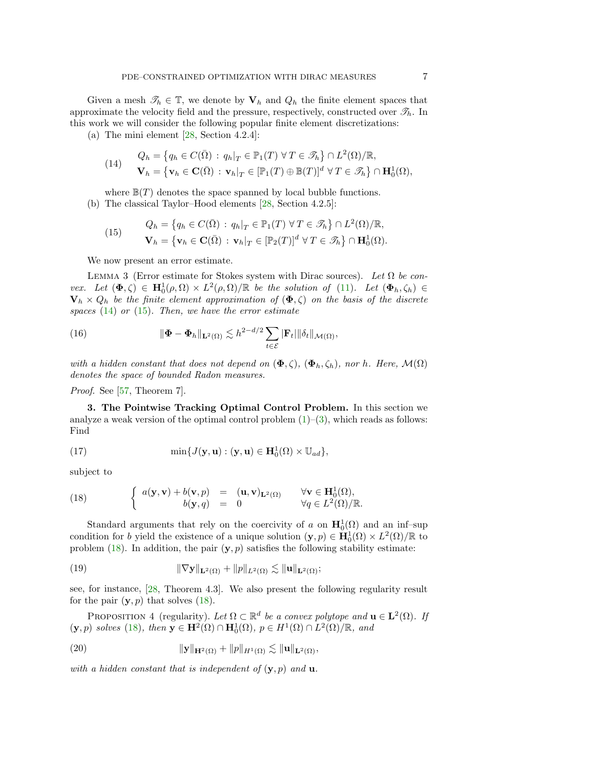Given a mesh  $\mathcal{T}_h \in \mathbb{T}$ , we denote by  $\mathbf{V}_h$  and  $Q_h$  the finite element spaces that approximate the velocity field and the pressure, respectively, constructed over  $\mathcal{I}_h$ . In this work we will consider the following popular finite element discretizations:

(a) The mini element  $[28, Section 4.2.4]$ :

<span id="page-6-1"></span>(14) 
$$
Q_h = \{ q_h \in C(\overline{\Omega}) : q_h|_T \in \mathbb{P}_1(T) \,\forall \, T \in \mathcal{F}_h \} \cap L^2(\Omega)/\mathbb{R},
$$

$$
\mathbf{V}_h = \{ \mathbf{v}_h \in \mathbf{C}(\overline{\Omega}) : \mathbf{v}_h|_T \in [\mathbb{P}_1(T) \oplus \mathbb{B}(T)]^d \,\forall \, T \in \mathcal{F}_h \} \cap \mathbf{H}_0^1(\Omega),
$$

where  $\mathbb{B}(T)$  denotes the space spanned by local bubble functions. (b) The classical Taylor–Hood elements [\[28,](#page-26-16) Section 4.2.5]:

<span id="page-6-2"></span>(15) 
$$
Q_h = \{q_h \in C(\bar{\Omega}) : q_h|_T \in \mathbb{P}_1(T) \,\forall \, T \in \mathcal{F}_h\} \cap L^2(\Omega)/\mathbb{R},
$$

$$
\mathbf{V}_h = \{\mathbf{v}_h \in \mathbf{C}(\bar{\Omega}) : \mathbf{v}_h|_T \in [\mathbb{P}_2(T)]^d \,\forall \, T \in \mathcal{F}_h\} \cap \mathbf{H}_0^1(\Omega).
$$

We now present an error estimate.

<span id="page-6-7"></span>LEMMA 3 (Error estimate for Stokes system with Dirac sources). Let  $\Omega$  be convex. Let  $(\Phi, \zeta) \in \mathbf{H}_0^1(\rho, \Omega) \times L^2(\rho, \Omega) / \mathbb{R}$  be the solution of [\(11\)](#page-5-0). Let  $(\Phi_h, \zeta_h) \in$  $\mathbf{V}_h \times Q_h$  be the finite element approximation of  $(\mathbf{\Phi}, \zeta)$  on the basis of the discrete spaces  $(14)$  or  $(15)$ . Then, we have the error estimate

<span id="page-6-8"></span>(16) 
$$
\|\mathbf{\Phi}-\mathbf{\Phi}_h\|_{\mathbf{L}^2(\Omega)} \lesssim h^{2-d/2} \sum_{t \in \mathcal{E}} |\mathbf{F}_t| \|\delta_t\|_{\mathcal{M}(\Omega)},
$$

with a hidden constant that does not depend on  $(\Phi, \zeta), (\Phi_h, \zeta_h)$ , nor h. Here,  $\mathcal{M}(\Omega)$ denotes the space of bounded Radon measures.

<span id="page-6-0"></span>Proof. See [\[57,](#page-27-1) Theorem 7].

3. The Pointwise Tracking Optimal Control Problem. In this section we analyze a weak version of the optimal control problem  $(1)$ – $(3)$ , which reads as follows: Find

<span id="page-6-5"></span>(17) 
$$
\min\{J(\mathbf{y}, \mathbf{u}) : (\mathbf{y}, \mathbf{u}) \in \mathbf{H}_0^1(\Omega) \times \mathbb{U}_{ad}\},
$$

subject to

<span id="page-6-3"></span>(18) 
$$
\begin{cases} a(\mathbf{y}, \mathbf{v}) + b(\mathbf{v}, p) = (\mathbf{u}, \mathbf{v})_{\mathbf{L}^2(\Omega)} & \forall \mathbf{v} \in \mathbf{H}_0^1(\Omega), \\ b(\mathbf{y}, q) = 0 & \forall q \in L^2(\Omega)/\mathbb{R}. \end{cases}
$$

Standard arguments that rely on the coercivity of a on  $\mathbf{H}_0^1(\Omega)$  and an inf-sup condition for b yield the existence of a unique solution  $(\mathbf{y}, p) \in \mathbf{H}_0^1(\Omega) \times L^2(\Omega)/\mathbb{R}$  to problem [\(18\)](#page-6-3). In addition, the pair  $(y, p)$  satisfies the following stability estimate:

(19) 
$$
\|\nabla \mathbf{y}\|_{\mathbf{L}^2(\Omega)} + \|p\|_{L^2(\Omega)} \lesssim \|\mathbf{u}\|_{\mathbf{L}^2(\Omega)};
$$

see, for instance, [\[28,](#page-26-16) Theorem 4.3]. We also present the following regularity result for the pair  $(y, p)$  that solves [\(18\)](#page-6-3).

<span id="page-6-4"></span>PROPOSITION 4 (regularity). Let  $\Omega \subset \mathbb{R}^d$  be a convex polytope and  $\mathbf{u} \in \mathbf{L}^2(\Omega)$ . If  $(\mathbf{y}, p)$  solves [\(18\)](#page-6-3), then  $\mathbf{y} \in \mathbf{H}^2(\Omega) \cap \mathbf{H}_0^1(\Omega)$ ,  $p \in H^1(\Omega) \cap L^2(\Omega)/\mathbb{R}$ , and

<span id="page-6-6"></span>(20) 
$$
\|\mathbf{y}\|_{\mathbf{H}^2(\Omega)} + \|p\|_{H^1(\Omega)} \lesssim \|\mathbf{u}\|_{\mathbf{L}^2(\Omega)},
$$

with a hidden constant that is independent of  $(\mathbf{y}, p)$  and  $\mathbf{u}$ .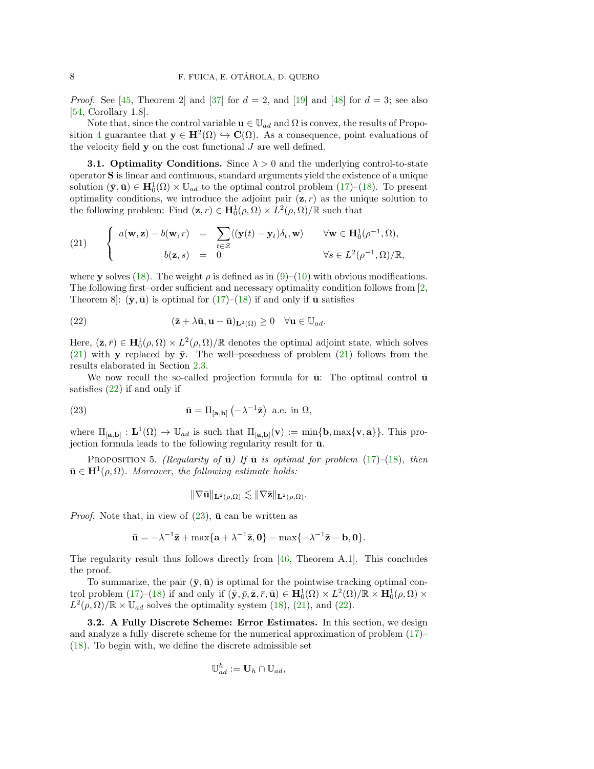*Proof.* See [\[45,](#page-26-17) Theorem 2] and [\[37\]](#page-26-18) for  $d = 2$ , and [\[19\]](#page-26-19) and [\[48\]](#page-27-6) for  $d = 3$ ; see also [\[54,](#page-27-7) Corollary 1.8].

Note that, since the control variable  $\mathbf{u} \in \mathbb{U}_{ad}$  and  $\Omega$  is convex, the results of Propo-sition [4](#page-6-4) guarantee that  $y \in H^2(\Omega) \hookrightarrow C(\Omega)$ . As a consequence, point evaluations of the velocity field  $y$  on the cost functional  $J$  are well defined.

**3.1. Optimality Conditions.** Since  $\lambda > 0$  and the underlying control-to-state operator S is linear and continuous, standard arguments yield the existence of a unique solution  $(\bar{y}, \bar{u}) \in H_0^1(\Omega) \times \mathbb{U}_{ad}$  to the optimal control problem [\(17\)](#page-6-5)–[\(18\)](#page-6-3). To present optimality conditions, we introduce the adjoint pair  $(z, r)$  as the unique solution to the following problem: Find  $(\mathbf{z}, r) \in \mathbf{H}_{0}^{1}(\rho, \Omega) \times L^{2}(\rho, \Omega)/\mathbb{R}$  such that

<span id="page-7-0"></span>(21) 
$$
\begin{cases} a(\mathbf{w}, \mathbf{z}) - b(\mathbf{w}, r) = \sum_{t \in \mathcal{Z}} \langle (\mathbf{y}(t) - \mathbf{y}_t) \delta_t, \mathbf{w} \rangle & \forall \mathbf{w} \in \mathbf{H}_0^1(\rho^{-1}, \Omega), \\ b(\mathbf{z}, s) = 0 & \forall s \in L^2(\rho^{-1}, \Omega)/\mathbb{R}, \end{cases}
$$

where y solves [\(18\)](#page-6-3). The weight  $\rho$  is defined as in [\(9\)](#page-4-2)–[\(10\)](#page-4-3) with obvious modifications. The following first–order sufficient and necessary optimality condition follows from [\[2,](#page-25-10) Theorem 8]:  $(\bar{y}, \bar{u})$  is optimal for [\(17\)](#page-6-5)–[\(18\)](#page-6-3) if and only if  $\bar{u}$  satisfies

<span id="page-7-1"></span>(22) 
$$
(\bar{\mathbf{z}} + \lambda \bar{\mathbf{u}}, \mathbf{u} - \bar{\mathbf{u}})_{\mathbf{L}^2(\Omega)} \geq 0 \quad \forall \mathbf{u} \in \mathbb{U}_{ad}.
$$

Here,  $(\bar{z}, \bar{r}) \in H_0^1(\rho, \Omega) \times L^2(\rho, \Omega) / \mathbb{R}$  denotes the optimal adjoint state, which solves [\(21\)](#page-7-0) with **y** replaced by  $\bar{y}$ . The well–posedness of problem [\(21\)](#page-7-0) follows from the results elaborated in Section [2.3.](#page-4-0)

We now recall the so-called projection formula for  $\bar{u}$ : The optimal control  $\bar{u}$ satisfies [\(22\)](#page-7-1) if and only if

(23) 
$$
\bar{\mathbf{u}} = \Pi_{[\mathbf{a},\mathbf{b}]} \left( -\lambda^{-1} \bar{\mathbf{z}} \right) \text{ a.e. in } \Omega,
$$

where  $\Pi_{[a,b]} : L^1(\Omega) \to \mathbb{U}_{ad}$  is such that  $\Pi_{[a,b]}(\mathbf{v}) := \min\{\mathbf{b}, \max\{\mathbf{v}, \mathbf{a}\}\}\.$  This projection formula leads to the following regularity result for  $\bar{u}$ .

PROPOSITION 5. (Regularity of  $\bar{u}$ ) If  $\bar{u}$  is optimal for problem [\(17\)](#page-6-5)–[\(18\)](#page-6-3), then  $\bar{\mathbf{u}} \in \mathbf{H}^{1}(\rho, \Omega)$ . Moreover, the following estimate holds:

<span id="page-7-2"></span>
$$
\|\nabla\bar{\mathbf{u}}\|_{\mathbf{L}^2(\rho,\Omega)} \lesssim \|\nabla\bar{\mathbf{z}}\|_{\mathbf{L}^2(\rho,\Omega)}.
$$

*Proof.* Note that, in view of  $(23)$ ,  $\bar{u}$  can be written as

$$
\bar{\mathbf{u}} = -\lambda^{-1}\bar{\mathbf{z}} + \max\{\mathbf{a} + \lambda^{-1}\bar{\mathbf{z}}, \mathbf{0}\} - \max\{-\lambda^{-1}\bar{\mathbf{z}} - \mathbf{b}, \mathbf{0}\}.
$$

The regularity result thus follows directly from  $[46,$  Theorem A.1]. This concludes the proof.

To summarize, the pair  $(\bar{y}, \bar{u})$  is optimal for the pointwise tracking optimal control problem  $(17)-(18)$  $(17)-(18)$  if and only if  $(\bar{y}, \bar{p}, \bar{z}, \bar{r}, \bar{u}) \in \mathbf{H}_{0}^{1}(\Omega) \times L^{2}(\Omega)/\mathbb{R} \times \mathbf{H}_{0}^{1}(\rho, \Omega) \times$  $L^2(\rho,\Omega)/\mathbb{R} \times \mathbb{U}_{ad}$  solves the optimality system [\(18\)](#page-6-3), [\(21\)](#page-7-0), and [\(22\)](#page-7-1).

<span id="page-7-3"></span>3.2. A Fully Discrete Scheme: Error Estimates. In this section, we design and analyze a fully discrete scheme for the numerical approximation of problem [\(17\)](#page-6-5)– [\(18\)](#page-6-3). To begin with, we define the discrete admissible set

$$
\mathbb{U}_{ad}^h := \mathbf{U}_h \cap \mathbb{U}_{ad},
$$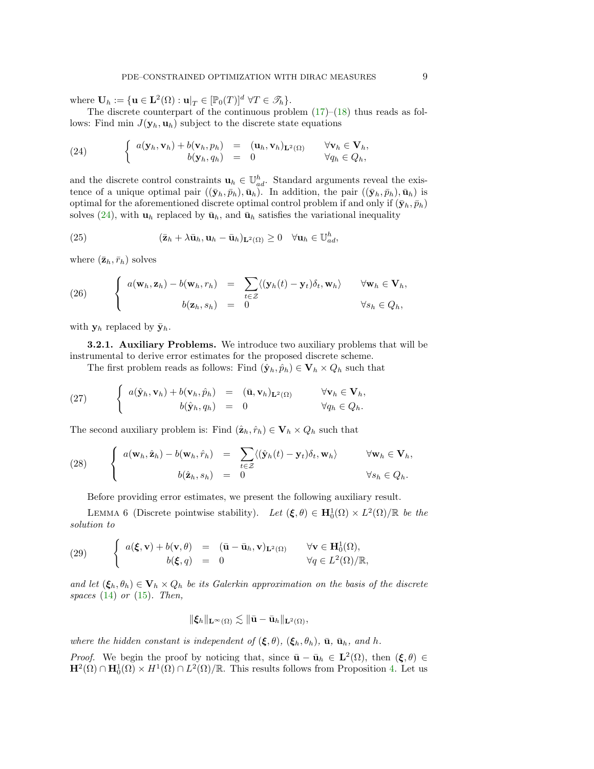where  $\mathbf{U}_h := \{ \mathbf{u} \in \mathbf{L}^2(\Omega) : \mathbf{u}|_T \in [\mathbb{P}_0(T)]^d \; \forall T \in \mathcal{F}_h \}.$ 

The discrete counterpart of the continuous problem  $(17)$ – $(18)$  thus reads as follows: Find min  $J(\mathbf{y}_h, \mathbf{u}_h)$  subject to the discrete state equations

<span id="page-8-0"></span>(24) 
$$
\begin{cases} a(\mathbf{y}_h, \mathbf{v}_h) + b(\mathbf{v}_h, p_h) = (\mathbf{u}_h, \mathbf{v}_h)_{\mathbf{L}^2(\Omega)} & \forall \mathbf{v}_h \in \mathbf{V}_h, \\ b(\mathbf{y}_h, q_h) = 0 & \forall q_h \in Q_h, \end{cases}
$$

and the discrete control constraints  $\mathbf{u}_h \in \mathbb{U}_{ad}^h$ . Standard arguments reveal the existence of a unique optimal pair  $((\bar{\mathbf{y}}_h, \bar{p}_h), \bar{\mathbf{u}}_h)$ . In addition, the pair  $((\bar{\mathbf{y}}_h, \bar{p}_h), \bar{\mathbf{u}}_h)$  is optimal for the aforementioned discrete optimal control problem if and only if  $(\bar{\mathbf{y}}_h, \bar{p}_h)$ solves [\(24\)](#page-8-0), with  $\mathbf{u}_h$  replaced by  $\bar{\mathbf{u}}_h$ , and  $\bar{\mathbf{u}}_h$  satisfies the variational inequality

<span id="page-8-3"></span>(25) 
$$
(\bar{\mathbf{z}}_h + \lambda \bar{\mathbf{u}}_h, \mathbf{u}_h - \bar{\mathbf{u}}_h)_{\mathbf{L}^2(\Omega)} \geq 0 \quad \forall \mathbf{u}_h \in \mathbb{U}_{ad}^h,
$$

where  $(\bar{\mathbf{z}}_h, \bar{r}_h)$  solves

<span id="page-8-2"></span>(26) 
$$
\begin{cases} a(\mathbf{w}_h, \mathbf{z}_h) - b(\mathbf{w}_h, r_h) = \sum_{t \in \mathcal{Z}} \langle (\mathbf{y}_h(t) - \mathbf{y}_t) \delta_t, \mathbf{w}_h \rangle & \forall \mathbf{w}_h \in \mathbf{V}_h, \\ b(\mathbf{z}_h, s_h) = 0 & \forall s_h \in Q_h, \end{cases}
$$

with  $y_h$  replaced by  $\bar{y}_h$ .

3.2.1. Auxiliary Problems. We introduce two auxiliary problems that will be instrumental to derive error estimates for the proposed discrete scheme.

The first problem reads as follows: Find  $(\hat{\mathbf{y}}_h, \hat{p}_h) \in \mathbf{V}_h \times Q_h$  such that

<span id="page-8-6"></span>(27) 
$$
\begin{cases} a(\hat{\mathbf{y}}_h, \mathbf{v}_h) + b(\mathbf{v}_h, \hat{p}_h) = (\bar{\mathbf{u}}, \mathbf{v}_h)_{\mathbf{L}^2(\Omega)} & \forall \mathbf{v}_h \in \mathbf{V}_h, \\ b(\hat{\mathbf{y}}_h, q_h) = 0 & \forall q_h \in Q_h. \end{cases}
$$

The second auxiliary problem is: Find  $(\hat{\mathbf{z}}_h, \hat{r}_h) \in \mathbf{V}_h \times Q_h$  such that

(28) 
$$
\begin{cases} a(\mathbf{w}_h, \hat{\mathbf{z}}_h) - b(\mathbf{w}_h, \hat{r}_h) = \sum_{t \in \mathcal{Z}} \langle (\hat{\mathbf{y}}_h(t) - \mathbf{y}_t) \delta_t, \mathbf{w}_h \rangle & \forall \mathbf{w}_h \in \mathbf{V}_h, \\ b(\hat{\mathbf{z}}_h, s_h) = 0 & \forall s_h \in Q_h. \end{cases}
$$

<span id="page-8-4"></span>Before providing error estimates, we present the following auxiliary result.

LEMMA 6 (Discrete pointwise stability). Let  $(\xi, \theta) \in \mathbf{H}_0^1(\Omega) \times L^2(\Omega)/\mathbb{R}$  be the solution to

<span id="page-8-1"></span>(29) 
$$
\begin{cases} a(\xi, \mathbf{v}) + b(\mathbf{v}, \theta) = (\bar{\mathbf{u}} - \bar{\mathbf{u}}_h, \mathbf{v})_{\mathbf{L}^2(\Omega)} & \forall \mathbf{v} \in \mathbf{H}_0^1(\Omega), \\ b(\xi, q) = 0 & \forall q \in L^2(\Omega)/\mathbb{R}, \end{cases}
$$

and let  $(\xi_h, \theta_h) \in \mathbf{V}_h \times Q_h$  be its Galerkin approximation on the basis of the discrete spaces  $(14)$  or  $(15)$ . Then,

<span id="page-8-5"></span>
$$
\|\boldsymbol\xi_h\|_{\mathbf{L}^\infty(\Omega)}\lesssim \|\bar{\mathbf{u}}-\bar{\mathbf{u}}_h\|_{\mathbf{L}^2(\Omega)},
$$

where the hidden constant is independent of  $(\xi, \theta)$ ,  $(\xi_h, \theta_h)$ ,  $\bar{u}$ ,  $\bar{u}_h$ , and h.

*Proof.* We begin the proof by noticing that, since  $\bar{\mathbf{u}} - \bar{\mathbf{u}}_h \in \mathbf{L}^2(\Omega)$ , then  $(\xi, \theta) \in$  $\mathbf{H}^2(\Omega) \cap \mathbf{H}_0^1(\Omega) \times H^1(\Omega) \cap L^2(\Omega)/\mathbb{R}$ . This results follows from Proposition [4.](#page-6-4) Let us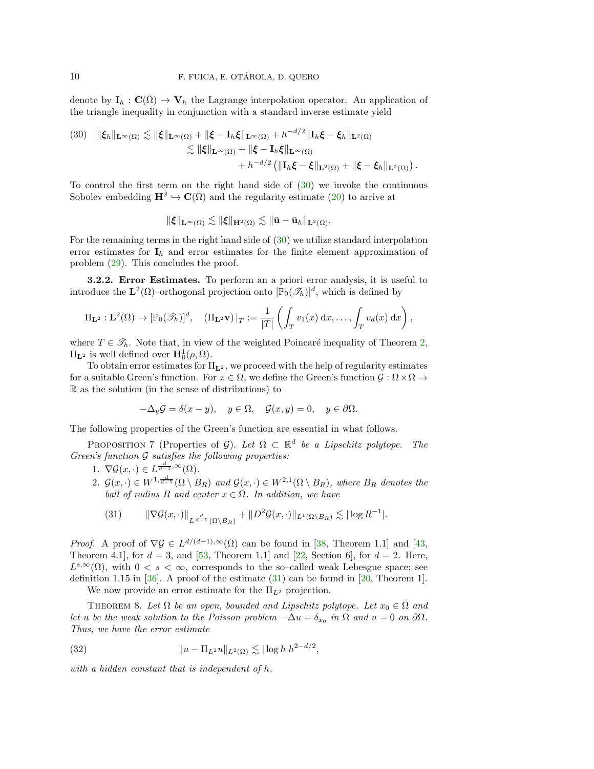denote by  $I_h : C(\bar{\Omega}) \to V_h$  the Lagrange interpolation operator. An application of the triangle inequality in conjunction with a standard inverse estimate yield

<span id="page-9-0"></span>(30) 
$$
\|\xi_h\|_{\mathbf{L}^{\infty}(\Omega)} \lesssim \|\xi\|_{\mathbf{L}^{\infty}(\Omega)} + \|\xi - \mathbf{I}_h\xi\|_{\mathbf{L}^{\infty}(\Omega)} + h^{-d/2} \|\mathbf{I}_h\xi - \xi_h\|_{\mathbf{L}^2(\Omega)}
$$
  

$$
\lesssim \|\xi\|_{\mathbf{L}^{\infty}(\Omega)} + \|\xi - \mathbf{I}_h\xi\|_{\mathbf{L}^{\infty}(\Omega)}
$$
  

$$
+ h^{-d/2} \left( \|\mathbf{I}_h\xi - \xi\|_{\mathbf{L}^2(\Omega)} + \|\xi - \xi_h\|_{\mathbf{L}^2(\Omega)} \right)
$$

To control the first term on the right hand side of [\(30\)](#page-9-0) we invoke the continuous Sobolev embedding  $\mathbf{H}^2 \hookrightarrow \mathbf{C}(\bar{\Omega})$  and the regularity estimate ([20\)](#page-6-6) to arrive at

.

$$
\|\boldsymbol{\xi}\|_{\mathbf{L}^{\infty}(\Omega)} \lesssim \|\boldsymbol{\xi}\|_{\mathbf{H}^2(\Omega)} \lesssim \|\bar{\mathbf{u}} - \bar{\mathbf{u}}_h\|_{\mathbf{L}^2(\Omega)}.
$$

For the remaining terms in the right hand side of [\(30\)](#page-9-0) we utilize standard interpolation error estimates for  $I_h$  and error estimates for the finite element approximation of problem [\(29\)](#page-8-1). This concludes the proof.

3.2.2. Error Estimates. To perform an a priori error analysis, it is useful to introduce the  $\mathbf{L}^2(\Omega)$ -orthogonal projection onto  $[\mathbb{P}_0(\mathscr{T}_h)]^d$ , which is defined by

$$
\Pi_{\mathbf{L}^2}: \mathbf{L}^2(\Omega) \to [\mathbb{P}_0(\mathscr{T}_h)]^d, \quad (\Pi_{\mathbf{L}^2} \mathbf{v})|_T := \frac{1}{|T|} \left( \int_T v_1(x) dx, \dots, \int_T v_d(x) dx \right),
$$

where  $T \in \mathcal{T}_h$ . Note that, in view of the weighted Poincaré inequality of Theorem [2,](#page-5-1)  $\Pi_{\mathbf{L}^2}$  is well defined over  $\mathbf{H}_0^1(\rho,\Omega)$ .

To obtain error estimates for  $\Pi_{\mathbf{L}^2}$ , we proceed with the help of regularity estimates for a suitable Green's function. For  $x \in \Omega$ , we define the Green's function  $\mathcal{G}: \Omega \times \Omega \to$ R as the solution (in the sense of distributions) to

$$
-\Delta_y \mathcal{G} = \delta(x - y), \quad y \in \Omega, \quad \mathcal{G}(x, y) = 0, \quad y \in \partial \Omega.
$$

<span id="page-9-2"></span>The following properties of the Green's function are essential in what follows.

PROPOSITION 7 (Properties of G). Let  $\Omega \subset \mathbb{R}^d$  be a Lipschitz polytope. The Green's function  $G$  satisfies the following properties:

- 1.  $\nabla \mathcal{G}(x, \cdot) \in L^{\frac{d}{d-1}, \infty}(\Omega)$ .
- 2.  $\mathcal{G}(x, \cdot) \in W^{1, \frac{d}{d-1}}(\Omega \setminus B_R)$  and  $\mathcal{G}(x, \cdot) \in W^{2,1}(\Omega \setminus B_R)$ , where  $B_R$  denotes the ball of radius R and center  $x \in \Omega$ . In addition, we have

<span id="page-9-1"></span>(31) 
$$
\|\nabla \mathcal{G}(x,\cdot)\|_{L^{\frac{d}{d-1}}(\Omega\setminus B_R)} + \|D^2 \mathcal{G}(x,\cdot)\|_{L^1(\Omega\setminus B_R)} \lesssim |\log R^{-1}|.
$$

*Proof.* A proof of  $\nabla \mathcal{G} \in L^{d/(d-1),\infty}(\Omega)$  can be found in [\[38,](#page-26-20) Theorem 1.1] and [\[43,](#page-26-21) Theorem 4.1, for  $d = 3$ , and [\[53,](#page-27-9) Theorem 1.1] and [\[22,](#page-26-22) Section 6], for  $d = 2$ . Here,  $L^{s,\infty}(\Omega)$ , with  $0 < s < \infty$ , corresponds to the so-called weak Lebesgue space; see definition 1.15 in [\[36\]](#page-26-23). A proof of the estimate  $(31)$  can be found in [\[20,](#page-26-24) Theorem 1].

<span id="page-9-3"></span>We now provide an error estimate for the  $\Pi_{L^2}$  projection.

<span id="page-9-4"></span>THEOREM 8. Let  $\Omega$  be an open, bounded and Lipschitz polytope. Let  $x_0 \in \Omega$  and let u be the weak solution to the Poisson problem  $-\Delta u = \delta_{x_0}$  in  $\Omega$  and  $u = 0$  on  $\partial \Omega$ . Thus, we have the error estimate

(32) 
$$
||u - \Pi_{L^2} u||_{L^2(\Omega)} \lesssim |\log h| h^{2 - d/2},
$$

with a hidden constant that is independent of h.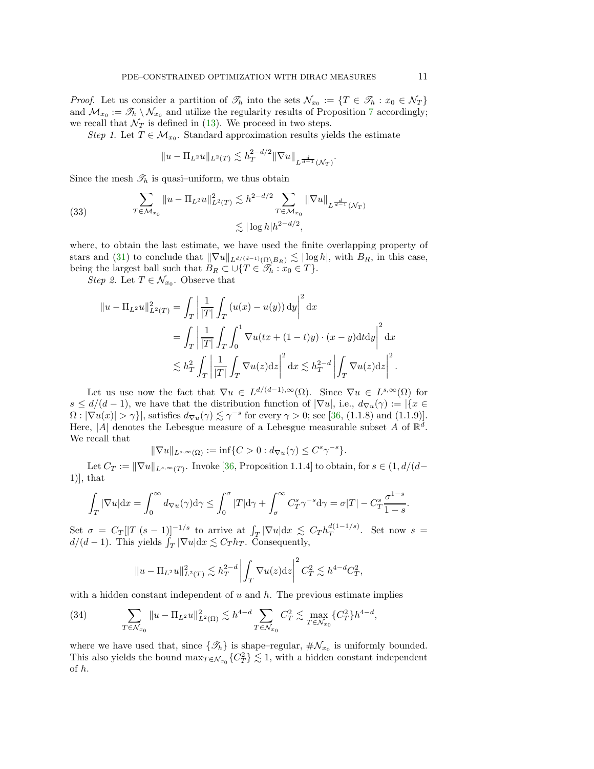*Proof.* Let us consider a partition of  $\mathcal{T}_h$  into the sets  $\mathcal{N}_{x_0} := \{T \in \mathcal{T}_h : x_0 \in \mathcal{N}_T\}$ and  $\mathcal{M}_{x_0} := \mathscr{T}_h \setminus \mathcal{N}_{x_0}$  and utilize the regularity results of Proposition [7](#page-9-2) accordingly; we recall that  $\mathcal{N}_T$  is defined in [\(13\)](#page-5-2). We proceed in two steps.

Step 1. Let  $T \in \mathcal{M}_{x_0}$ . Standard approximation results yields the estimate

$$
||u - \Pi_{L^2}u||_{L^2(T)} \lesssim h_T^{2-d/2} ||\nabla u||_{L^{\frac{d}{d-1}}(\mathcal{N}_T)}.
$$

Since the mesh  $\mathcal{T}_h$  is quasi-uniform, we thus obtain

<span id="page-10-0"></span>(33) 
$$
\sum_{T \in \mathcal{M}_{x_0}} \|u - \Pi_{L^2}u\|_{L^2(T)}^2 \lesssim h^{2-d/2} \sum_{T \in \mathcal{M}_{x_0}} \|\nabla u\|_{L^{\frac{d}{d-1}}(\mathcal{N}_T)}
$$

$$
\lesssim |\log h| h^{2-d/2},
$$

where, to obtain the last estimate, we have used the finite overlapping property of stars and [\(31\)](#page-9-1) to conclude that  $\|\nabla u\|_{L^{d/(d-1)}(\Omega \setminus B_R)} \lesssim |\log h|$ , with  $B_R$ , in this case, being the largest ball such that  $B_R \subset \bigcup \{T \in \mathcal{T}_h : x_0 \in T\}.$ 

*Step 2.* Let  $T \in \mathcal{N}_{x_0}$ . Observe that

$$
||u - \Pi_{L^2}u||_{L^2(T)}^2 = \int_T \left| \frac{1}{|T|} \int_T (u(x) - u(y)) dy \right|^2 dx
$$
  
= 
$$
\int_T \left| \frac{1}{|T|} \int_T \int_0^1 \nabla u(tx + (1-t)y) \cdot (x-y) dt dy \right|^2 dx
$$
  

$$
\lesssim h_T^2 \int_T \left| \frac{1}{|T|} \int_T \nabla u(z) dz \right|^2 dx \lesssim h_T^{2-d} \left| \int_T \nabla u(z) dz \right|^2.
$$

Let us use now the fact that  $\nabla u \in L^{d/(d-1),\infty}(\Omega)$ . Since  $\nabla u \in L^{s,\infty}(\Omega)$  for  $s \leq d/(d-1)$ , we have that the distribution function of  $|\nabla u|$ , i.e.,  $d_{\nabla u}(\gamma) := |\{x \in$  $\Omega: |\nabla u(x)| > \gamma$ , satisfies  $d_{\nabla u}(\gamma) \lesssim \gamma^{-s}$  for every  $\gamma > 0$ ; see [\[36,](#page-26-23) (1.1.8) and (1.1.9)]. Here, |A| denotes the Lebesgue measure of a Lebesgue measurable subset A of  $\mathbb{R}^d$ . We recall that

$$
\|\nabla u\|_{L^{s,\infty}(\Omega)} := \inf\{C > 0 : d_{\nabla u}(\gamma) \le C^s \gamma^{-s}\}.
$$

Let  $C_T := \|\nabla u\|_{L^{s,\infty}(T)}$ . Invoke [\[36,](#page-26-23) Proposition 1.1.4] to obtain, for  $s \in (1, d/(d-1))$  $1)$ , that

$$
\int_T |\nabla u| \mathrm{d}x = \int_0^\infty d\sigma u(\gamma) \mathrm{d}\gamma \le \int_0^\sigma |T| \mathrm{d}\gamma + \int_\sigma^\infty C_T^s \gamma^{-s} \mathrm{d}\gamma = \sigma |T| - C_T^s \frac{\sigma^{1-s}}{1-s}.
$$

Set  $\sigma = C_T[|T|(s-1)]^{-1/s}$  to arrive at  $\int_T |\nabla u| \,dx \leq C_T h_T^{d(1-1/s)}$  $T^{a(1-1/3)}$ . Set now  $s =$  $d/(d-1)$ . This yields  $\int_T |\nabla u| dx \lesssim C_T h_T$ . Consequently,

$$
||u - \Pi_{L^2}u||_{L^2(T)}^2 \lesssim h_T^{2-d} \left| \int_T \nabla u(z) dz \right|^2 C_T^2 \lesssim h^{4-d} C_T^2,
$$

with a hidden constant independent of  $u$  and  $h$ . The previous estimate implies

<span id="page-10-1"></span>(34) 
$$
\sum_{T \in \mathcal{N}_{x_0}} \|u - \Pi_{L^2}u\|_{L^2(\Omega)}^2 \lesssim h^{4-d} \sum_{T \in \mathcal{N}_{x_0}} C_T^2 \lesssim \max_{T \in \mathcal{N}_{x_0}} \{C_T^2\} h^{4-d},
$$

where we have used that, since  $\{\mathcal{I}_h\}$  is shape–regular,  $\#\mathcal{N}_{x_0}$  is uniformly bounded. This also yields the bound  $\max_{T \in \mathcal{N}_{x_0}} \{C_T^2\} \lesssim 1$ , with a hidden constant independent of h.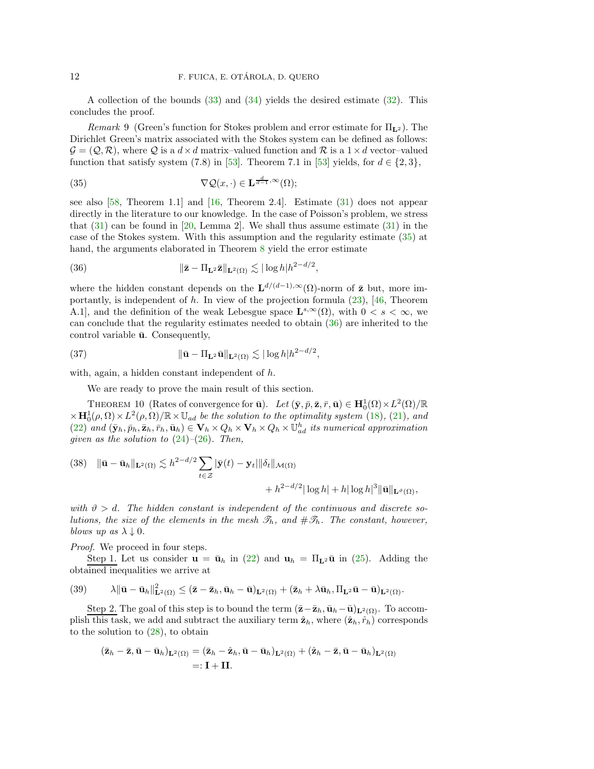A collection of the bounds [\(33\)](#page-10-0) and [\(34\)](#page-10-1) yields the desired estimate [\(32\)](#page-9-3). This concludes the proof.

Remark 9 (Green's function for Stokes problem and error estimate for  $\Pi_{\mathbf{L}^2}$ ). The Dirichlet Green's matrix associated with the Stokes system can be defined as follows:  $\mathcal{G} = (\mathcal{Q}, \mathcal{R})$ , where  $\mathcal{Q}$  is a  $d \times d$  matrix–valued function and  $\mathcal{R}$  is a  $1 \times d$  vector–valued function that satisfy system (7.8) in [\[53\]](#page-27-9). Theorem 7.1 in [53] yields, for  $d \in \{2,3\}$ ,

<span id="page-11-0"></span>(35) 
$$
\nabla \mathcal{Q}(x, \cdot) \in \mathbf{L}^{\frac{d}{d-1}, \infty}(\Omega);
$$

see also [\[58,](#page-27-10) Theorem 1.1] and [\[16,](#page-26-25) Theorem 2.4]. Estimate [\(31\)](#page-9-1) does not appear directly in the literature to our knowledge. In the case of Poisson's problem, we stress that  $(31)$  can be found in [\[20,](#page-26-24) Lemma 2]. We shall thus assume estimate  $(31)$  in the case of the Stokes system. With this assumption and the regularity estimate [\(35\)](#page-11-0) at hand, the arguments elaborated in Theorem [8](#page-9-4) yield the error estimate

<span id="page-11-1"></span>(36) 
$$
\|\bar{\mathbf{z}} - \Pi_{\mathbf{L}^2} \bar{\mathbf{z}}\|_{\mathbf{L}^2(\Omega)} \lesssim |\log h| h^{2-d/2},
$$

where the hidden constant depends on the  $\mathbf{L}^{d/(d-1),\infty}(\Omega)$ -norm of  $\bar{\mathbf{z}}$  but, more importantly, is independent of h. In view of the projection formula [\(23\)](#page-7-2), [\[46,](#page-27-8) Theorem A.1, and the definition of the weak Lebesgue space  $\mathbf{L}^{s,\infty}(\Omega)$ , with  $0 < s < \infty$ , we can conclude that the regularity estimates needed to obtain [\(36\)](#page-11-1) are inherited to the control variable  $\bar{u}$ . Consequently,

(37) 
$$
\|\bar{\mathbf{u}} - \Pi_{\mathbf{L}^2}\bar{\mathbf{u}}\|_{\mathbf{L}^2(\Omega)} \lesssim |\log h| h^{2-d/2},
$$

with, again, a hidden constant independent of h.

<span id="page-11-3"></span>We are ready to prove the main result of this section.

<span id="page-11-4"></span>THEOREM 10 (Rates of convergence for  $\bar{\mathbf{u}}$ ). Let  $(\bar{\mathbf{y}}, \bar{p}, \bar{\mathbf{z}}, \bar{r}, \bar{\mathbf{u}}) \in \mathbf{H}_{0}^{1}(\Omega) \times L^{2}(\Omega)/\mathbb{R}$  $\times \mathbf{H}_0^1(\rho,\Omega) \times L^2(\rho,\Omega)/\mathbb{R} \times \mathbb{U}_{ad}$  be the solution to the optimality system [\(18\)](#page-6-3), [\(21\)](#page-7-0), and [\(22\)](#page-7-1) and  $(\bar{\mathbf{y}}_h, \bar{p}_h, \bar{\mathbf{z}}_h, \bar{r}_h, \bar{\mathbf{u}}_h) \in \mathbf{V}_h \times Q_h \times \mathbf{V}_h \times Q_h \times \mathbb{U}_{ad}^h$  its numerical approximation given as the solution to  $(24)$ – $(26)$ . Then,

<span id="page-11-5"></span>(38) 
$$
\|\bar{\mathbf{u}} - \bar{\mathbf{u}}_h\|_{\mathbf{L}^2(\Omega)} \lesssim h^{2-d/2} \sum_{t \in \mathcal{Z}} |\bar{\mathbf{y}}(t) - \mathbf{y}_t| \|\delta_t\|_{\mathcal{M}(\Omega)} + h^{2-d/2} |\log h| + h |\log h|^3 \|\bar{\mathbf{u}}\|_{\mathbf{L}^\vartheta(\Omega)},
$$

with  $\vartheta > d$ . The hidden constant is independent of the continuous and discrete solutions, the size of the elements in the mesh  $\mathcal{T}_h$ , and  $\#\mathcal{F}_h$ . The constant, however, blows up as  $\lambda \downarrow 0$ .

Proof. We proceed in four steps.

Step 1. Let us consider  $\mathbf{u} = \bar{\mathbf{u}}_h$  in [\(22\)](#page-7-1) and  $\mathbf{u}_h = \Pi_{\mathbf{L}^2} \bar{\mathbf{u}}$  in [\(25\)](#page-8-3). Adding the obtained inequalities we arrive at

<span id="page-11-2"></span>
$$
(39) \qquad \lambda \|\bar{\mathbf{u}} - \bar{\mathbf{u}}_h\|_{\mathbf{L}^2(\Omega)}^2 \leq (\bar{\mathbf{z}} - \bar{\mathbf{z}}_h, \bar{\mathbf{u}}_h - \bar{\mathbf{u}})_{\mathbf{L}^2(\Omega)} + (\bar{\mathbf{z}}_h + \lambda \bar{\mathbf{u}}_h, \Pi_{\mathbf{L}^2} \bar{\mathbf{u}} - \bar{\mathbf{u}})_{\mathbf{L}^2(\Omega)}.
$$

Step 2. The goal of this step is to bound the term  $(\bar{z}-\bar{z}_h, \bar{u}_h-\bar{u})_{L^2(\Omega)}$ . To accomplish this task, we add and subtract the auxiliary term  $\hat{\mathbf{z}}_h$ , where  $(\hat{\mathbf{z}}_h, \hat{r}_h)$  corresponds to the solution to [\(28\)](#page-8-4), to obtain

$$
(\bar{\mathbf{z}}_h - \bar{\mathbf{z}}, \bar{\mathbf{u}} - \bar{\mathbf{u}}_h)_{\mathbf{L}^2(\Omega)} = (\bar{\mathbf{z}}_h - \hat{\mathbf{z}}_h, \bar{\mathbf{u}} - \bar{\mathbf{u}}_h)_{\mathbf{L}^2(\Omega)} + (\hat{\mathbf{z}}_h - \bar{\mathbf{z}}, \bar{\mathbf{u}} - \bar{\mathbf{u}}_h)_{\mathbf{L}^2(\Omega)}
$$
  
=:  $\mathbf{I} + \mathbf{II}$ .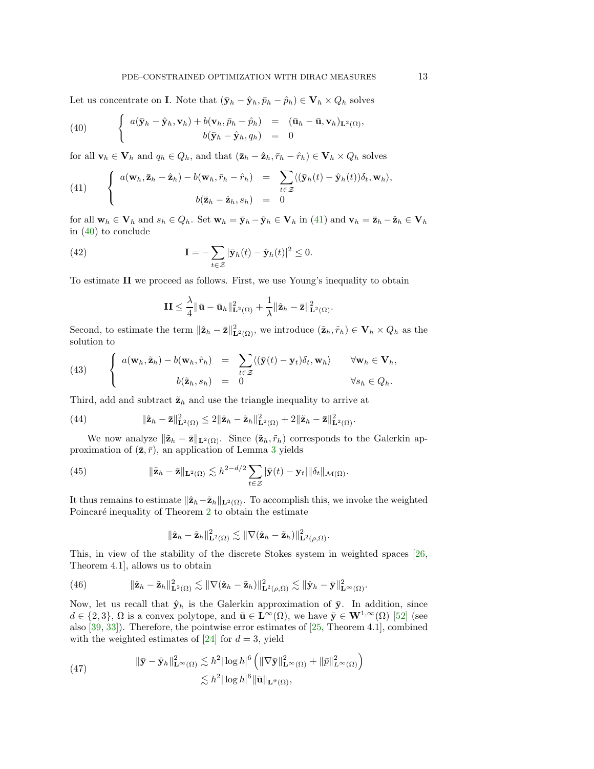Let us concentrate on **I**. Note that  $(\bar{y}_h - \hat{y}_h, \bar{p}_h - \hat{p}_h) \in \mathbf{V}_h \times Q_h$  solves

<span id="page-12-1"></span>(40) 
$$
\begin{cases} a(\bar{\mathbf{y}}_h - \hat{\mathbf{y}}_h, \mathbf{v}_h) + b(\mathbf{v}_h, \bar{p}_h - \hat{p}_h) = (\bar{\mathbf{u}}_h - \bar{\mathbf{u}}, \mathbf{v}_h)_{\mathbf{L}^2(\Omega)}, \\ b(\bar{\mathbf{y}}_h - \hat{\mathbf{y}}_h, q_h) = 0 \end{cases}
$$

for all  $\mathbf{v}_h \in \mathbf{V}_h$  and  $q_h \in Q_h$ , and that  $(\bar{\mathbf{z}}_h - \hat{\mathbf{z}}_h, \bar{r}_h - \hat{r}_h) \in \mathbf{V}_h \times Q_h$  solves

<span id="page-12-0"></span>(41) 
$$
\begin{cases} a(\mathbf{w}_h, \bar{\mathbf{z}}_h - \hat{\mathbf{z}}_h) - b(\mathbf{w}_h, \bar{r}_h - \hat{r}_h) = \sum_{t \in \mathcal{Z}} \langle (\bar{\mathbf{y}}_h(t) - \hat{\mathbf{y}}_h(t)) \delta_t, \mathbf{w}_h \rangle, \\ b(\bar{\mathbf{z}}_h - \hat{\mathbf{z}}_h, s_h) = 0 \end{cases}
$$

for all  $\mathbf{w}_h \in \mathbf{V}_h$  and  $s_h \in Q_h$ . Set  $\mathbf{w}_h = \bar{\mathbf{y}}_h - \hat{\mathbf{y}}_h \in \mathbf{V}_h$  in [\(41\)](#page-12-0) and  $\mathbf{v}_h = \bar{\mathbf{z}}_h - \hat{\mathbf{z}}_h \in \mathbf{V}_h$ in [\(40\)](#page-12-1) to conclude

(42) 
$$
\mathbf{I} = -\sum_{t \in \mathcal{Z}} |\bar{\mathbf{y}}_h(t) - \hat{\mathbf{y}}_h(t)|^2 \leq 0.
$$

To estimate II we proceed as follows. First, we use Young's inequality to obtain

$$
\mathbf{II} \leq \frac{\lambda}{4} \|\bar{\mathbf{u}} - \bar{\mathbf{u}}_h\|_{\mathbf{L}^2(\Omega)}^2 + \frac{1}{\lambda} \|\hat{\mathbf{z}}_h - \bar{\mathbf{z}}\|_{\mathbf{L}^2(\Omega)}^2.
$$

Second, to estimate the term  $\|\hat{\mathbf{z}}_h - \bar{\mathbf{z}}\|_{\mathbf{L}^2(\Omega)}^2$ , we introduce  $(\tilde{\mathbf{z}}_h, \tilde{r}_h) \in \mathbf{V}_h \times Q_h$  as the solution to

<span id="page-12-6"></span>(43) 
$$
\begin{cases} a(\mathbf{w}_h, \tilde{\mathbf{z}}_h) - b(\mathbf{w}_h, \tilde{r}_h) = \sum_{t \in \mathcal{Z}} \langle (\bar{\mathbf{y}}(t) - \mathbf{y}_t) \delta_t, \mathbf{w}_h \rangle & \forall \mathbf{w}_h \in \mathbf{V}_h, \\ b(\tilde{\mathbf{z}}_h, s_h) = 0 & \forall s_h \in Q_h. \end{cases}
$$

Third, add and subtract  $\tilde{\mathbf{z}}_h$  and use the triangle inequality to arrive at

<span id="page-12-5"></span>(44) 
$$
\|\hat{\mathbf{z}}_h-\bar{\mathbf{z}}\|_{\mathbf{L}^2(\Omega)}^2\leq 2\|\hat{\mathbf{z}}_h-\tilde{\mathbf{z}}_h\|_{\mathbf{L}^2(\Omega)}^2+2\|\tilde{\mathbf{z}}_h-\bar{\mathbf{z}}\|_{\mathbf{L}^2(\Omega)}^2.
$$

We now analyze  $\|\tilde{\mathbf{z}}_h - \bar{\mathbf{z}}\|_{\mathbf{L}^2(\Omega)}$ . Since  $(\tilde{\mathbf{z}}_h, \tilde{r}_h)$  corresponds to the Galerkin approximation of  $(\bar{z}, \bar{r})$ , an application of Lemma [3](#page-6-7) yields

(45) 
$$
\|\tilde{\mathbf{z}}_h - \bar{\mathbf{z}}\|_{\mathbf{L}^2(\Omega)} \lesssim h^{2-d/2} \sum_{t \in \mathcal{Z}} |\bar{\mathbf{y}}(t) - \mathbf{y}_t| \|\delta_t\|_{\mathcal{M}(\Omega)}.
$$

It thus remains to estimate  $\|\hat{\mathbf{z}}_h-\tilde{\mathbf{z}}_h\|_{\mathbf{L}^2(\Omega)}$ . To accomplish this, we invoke the weighted Poincaré inequality of Theorem  $2$  to obtain the estimate

<span id="page-12-4"></span>
$$
\|\hat{\mathbf{z}}_h-\tilde{\mathbf{z}}_h\|_{\mathbf{L}^2(\Omega)}^2\lesssim \|\nabla(\hat{\mathbf{z}}_h-\tilde{\mathbf{z}}_h)\|_{\mathbf{L}^2(\rho,\Omega)}^2.
$$

This, in view of the stability of the discrete Stokes system in weighted spaces [\[26,](#page-26-6) Theorem 4.1], allows us to obtain

<span id="page-12-3"></span>(46) 
$$
\|\hat{\mathbf{z}}_h - \tilde{\mathbf{z}}_h\|_{\mathbf{L}^2(\Omega)}^2 \lesssim \|\nabla(\hat{\mathbf{z}}_h - \tilde{\mathbf{z}}_h)\|_{\mathbf{L}^2(\rho,\Omega)}^2 \lesssim \|\hat{\mathbf{y}}_h - \bar{\mathbf{y}}\|_{\mathbf{L}^\infty(\Omega)}^2.
$$

Now, let us recall that  $\hat{\mathbf{y}}_h$  is the Galerkin approximation of  $\bar{\mathbf{y}}$ . In addition, since  $d \in \{2,3\},\Omega$  is a convex polytope, and  $\bar{\mathbf{u}} \in \mathbf{L}^{\infty}(\Omega)$ , we have  $\bar{\mathbf{y}} \in \mathbf{W}^{1,\infty}(\Omega)$  [\[52\]](#page-27-11) (see also [\[39,](#page-26-26) [33\]](#page-26-27)). Therefore, the pointwise error estimates of [\[25,](#page-26-28) Theorem 4.1], combined with the weighted estimates of  $[24]$  for  $d = 3$ , yield

<span id="page-12-2"></span>(47) 
$$
\|\bar{\mathbf{y}} - \hat{\mathbf{y}}_h\|_{\mathbf{L}^\infty(\Omega)}^2 \lesssim h^2 |\log h|^6 \left( \|\nabla \bar{\mathbf{y}}\|_{\mathbf{L}^\infty(\Omega)}^2 + \|\bar{p}\|_{L^\infty(\Omega)}^2 \right) \lesssim h^2 |\log h|^6 \|\bar{\mathbf{u}}\|_{\mathbf{L}^\vartheta(\Omega)},
$$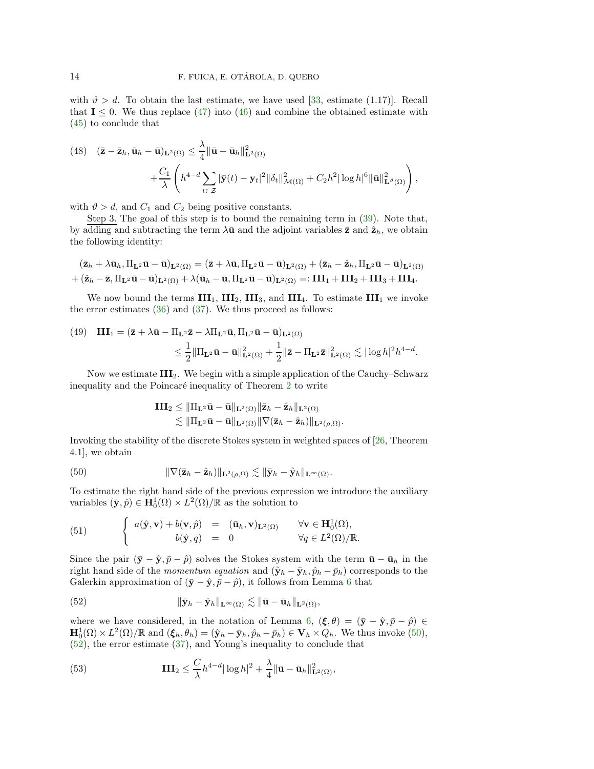with  $\vartheta > d$ . To obtain the last estimate, we have used [\[33,](#page-26-27) estimate (1.17)]. Recall that  $I \leq 0$ . We thus replace [\(47\)](#page-12-2) into [\(46\)](#page-12-3) and combine the obtained estimate with [\(45\)](#page-12-4) to conclude that

<span id="page-13-2"></span>(48) 
$$
(\mathbf{\bar{z}} - \mathbf{\bar{z}}_h, \mathbf{\bar{u}}_h - \mathbf{\bar{u}})_{\mathbf{L}^2(\Omega)} \leq \frac{\lambda}{4} ||\mathbf{\bar{u}} - \mathbf{\bar{u}}_h||_{\mathbf{L}^2(\Omega)}^2 + \frac{C_1}{\lambda} \left( h^{4-d} \sum_{t \in \mathcal{Z}} |\mathbf{\bar{y}}(t) - \mathbf{y}_t|^2 ||\delta_t||_{\mathcal{M}(\Omega)}^2 + C_2 h^2 |\log h|^6 ||\mathbf{\bar{u}}||_{\mathbf{L}^\vartheta(\Omega)}^2 \right),
$$

with  $\vartheta > d$ , and  $C_1$  and  $C_2$  being positive constants.

Step 3. The goal of this step is to bound the remaining term in [\(39\)](#page-11-2). Note that, by adding and subtracting the term  $\lambda \bar{u}$  and the adjoint variables  $\bar{z}$  and  $\hat{z}_h$ , we obtain the following identity:

$$
(\bar{\mathbf{z}}_h + \lambda \bar{\mathbf{u}}_h, \Pi_{\mathbf{L}^2} \bar{\mathbf{u}} - \bar{\mathbf{u}})_{\mathbf{L}^2(\Omega)} = (\bar{\mathbf{z}} + \lambda \bar{\mathbf{u}}, \Pi_{\mathbf{L}^2} \bar{\mathbf{u}} - \bar{\mathbf{u}})_{\mathbf{L}^2(\Omega)} + (\bar{\mathbf{z}}_h - \hat{\mathbf{z}}_h, \Pi_{\mathbf{L}^2} \bar{\mathbf{u}} - \bar{\mathbf{u}})_{\mathbf{L}^2(\Omega)} + (\hat{\mathbf{z}}_h - \bar{\mathbf{z}}, \Pi_{\mathbf{L}^2} \bar{\mathbf{u}} - \bar{\mathbf{u}})_{\mathbf{L}^2(\Omega)} + \lambda (\bar{\mathbf{u}}_h - \bar{\mathbf{u}}, \Pi_{\mathbf{L}^2} \bar{\mathbf{u}} - \bar{\mathbf{u}})_{\mathbf{L}^2(\Omega)} =: \mathbf{III}_1 + \mathbf{III}_2 + \mathbf{III}_3 + \mathbf{III}_4.
$$

We now bound the terms  $III_1$ ,  $III_2$ ,  $III_3$ , and  $III_4$ . To estimate  $III_1$  we invoke the error estimates  $(36)$  and  $(37)$ . We thus proceed as follows:

<span id="page-13-3"></span>(49) 
$$
\mathbf{III}_1 = (\mathbf{\bar{z}} + \lambda \mathbf{\bar{u}} - \Pi_{\mathbf{L}^2} \mathbf{\bar{z}} - \lambda \Pi_{\mathbf{L}^2} \mathbf{\bar{u}}, \Pi_{\mathbf{L}^2} \mathbf{\bar{u}} - \mathbf{\bar{u}})_{\mathbf{L}^2(\Omega)}
$$

$$
\leq \frac{1}{2} \|\Pi_{\mathbf{L}^2} \mathbf{\bar{u}} - \mathbf{\bar{u}}\|_{\mathbf{L}^2(\Omega)}^2 + \frac{1}{2} \|\mathbf{\bar{z}} - \Pi_{\mathbf{L}^2} \mathbf{\bar{z}}\|_{\mathbf{L}^2(\Omega)}^2 \lesssim |\log h|^2 h^{4-d}.
$$

Now we estimate  $III_2$ . We begin with a simple application of the Cauchy–Schwarz inequality and the Poincaré inequality of Theorem [2](#page-5-1) to write

<span id="page-13-0"></span>
$$
\begin{aligned}\mathbf{III}_2 & \leq \|\Pi_{\mathbf{L}^2}\bar{\mathbf{u}} - \bar{\mathbf{u}}\|_{\mathbf{L}^2(\Omega)} \|\bar{\mathbf{z}}_h - \hat{\mathbf{z}}_h\|_{\mathbf{L}^2(\Omega)}\\ & \lesssim \|\Pi_{\mathbf{L}^2}\bar{\mathbf{u}} - \bar{\mathbf{u}}\|_{\mathbf{L}^2(\Omega)} \|\nabla (\bar{\mathbf{z}}_h - \hat{\mathbf{z}}_h)\|_{\mathbf{L}^2(\rho,\Omega)}.\end{aligned}
$$

Invoking the stability of the discrete Stokes system in weighted spaces of [\[26,](#page-26-6) Theorem 4.1], we obtain

(50) 
$$
\|\nabla(\bar{\mathbf{z}}_h - \hat{\mathbf{z}}_h)\|_{\mathbf{L}^2(\rho,\Omega)} \lesssim \|\bar{\mathbf{y}}_h - \hat{\mathbf{y}}_h\|_{\mathbf{L}^\infty(\Omega)}.
$$

To estimate the right hand side of the previous expression we introduce the auxiliary variables  $(\hat{\mathbf{y}}, \hat{p}) \in \mathbf{H}_{0}^{1}(\Omega) \times L^{2}(\Omega)/\mathbb{R}$  as the solution to

(51) 
$$
\begin{cases} a(\hat{\mathbf{y}}, \mathbf{v}) + b(\mathbf{v}, \hat{p}) = (\bar{\mathbf{u}}_h, \mathbf{v})_{\mathbf{L}^2(\Omega)} & \forall \mathbf{v} \in \mathbf{H}_0^1(\Omega), \\ b(\hat{\mathbf{y}}, q) = 0 & \forall q \in L^2(\Omega)/\mathbb{R}. \end{cases}
$$

Since the pair  $(\bar{y} - \hat{y}, \bar{p} - \hat{p})$  solves the Stokes system with the term  $\bar{u} - \bar{u}_h$  in the right hand side of the momentum equation and  $(\hat{\mathbf{y}}_h - \bar{\mathbf{y}}_h, \hat{p}_h - \bar{p}_h)$  corresponds to the Galerkin approximation of  $(\bar{y} - \hat{y}, \bar{p} - \hat{p})$ , it follows from Lemma [6](#page-8-5) that

<span id="page-13-1"></span>(52) 
$$
\|\bar{\mathbf{y}}_h - \hat{\mathbf{y}}_h\|_{\mathbf{L}^\infty(\Omega)} \lesssim \|\bar{\mathbf{u}} - \bar{\mathbf{u}}_h\|_{\mathbf{L}^2(\Omega)},
$$

where we have considered, in the notation of Lemma [6,](#page-8-5)  $(\xi, \theta) = (\bar{y} - \hat{y}, \bar{p} - \hat{p}) \in$  $\mathbf{H}_0^1(\Omega) \times L^2(\Omega)/\mathbb{R}$  and  $(\xi_h, \theta_h) = (\hat{\mathbf{y}}_h - \bar{\mathbf{y}}_h, \hat{p}_h - \bar{p}_h) \in \mathbf{V}_h \times Q_h$ . We thus invoke [\(50\)](#page-13-0), [\(52\)](#page-13-1), the error estimate [\(37\)](#page-11-3), and Young's inequality to conclude that

<span id="page-13-4"></span>(53) 
$$
\mathbf{III}_{2} \leq \frac{C}{\lambda} h^{4-d} |\log h|^{2} + \frac{\lambda}{4} ||\bar{\mathbf{u}} - \bar{\mathbf{u}}_{h}||_{\mathbf{L}^{2}(\Omega)}^{2},
$$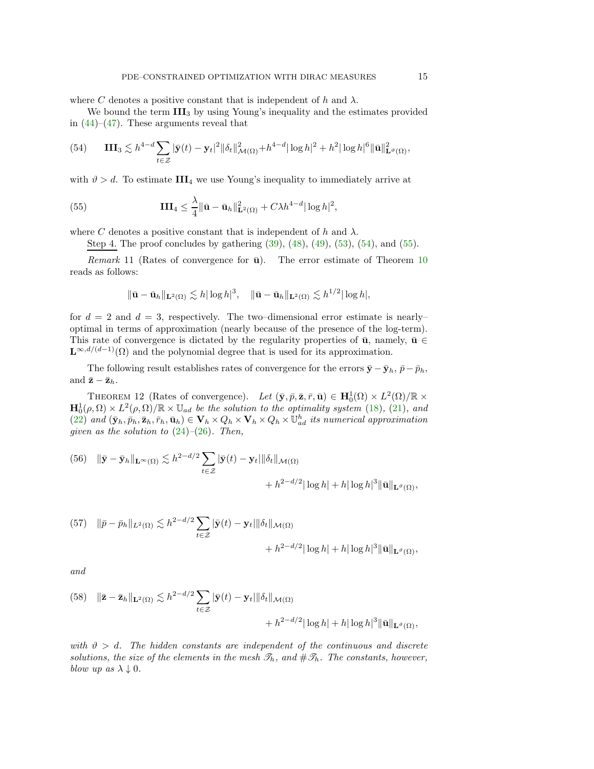where C denotes a positive constant that is independent of h and  $\lambda$ .

We bound the term  $III_3$  by using Young's inequality and the estimates provided in  $(44)$ – $(47)$ . These arguments reveal that

<span id="page-14-0"></span>(54) 
$$
\mathbf{III}_{3} \lesssim h^{4-d} \sum_{t \in \mathcal{Z}} |\bar{\mathbf{y}}(t) - \mathbf{y}_{t}|^{2} ||\delta_{t}||^{2}_{\mathcal{M}(\Omega)} + h^{4-d} |\log h|^{2} + h^{2} |\log h|^{6} ||\bar{\mathbf{u}}||^{2}_{\mathbf{L}^{\vartheta}(\Omega)},
$$

with  $\vartheta > d$ . To estimate III<sub>4</sub> we use Young's inequality to immediately arrive at

(55) 
$$
\mathbf{III}_{4} \leq \frac{\lambda}{4} \|\bar{\mathbf{u}} - \bar{\mathbf{u}}_{h}\|_{\mathbf{L}^{2}(\Omega)}^{2} + C\lambda h^{4-d} |\log h|^{2},
$$

where C denotes a positive constant that is independent of h and  $\lambda$ .

<span id="page-14-1"></span>Step 4. The proof concludes by gathering [\(39\)](#page-11-2), [\(48\)](#page-13-2), [\(49\)](#page-13-3), [\(53\)](#page-13-4), [\(54\)](#page-14-0), and [\(55\)](#page-14-1).

Remark 11 (Rates of convergence for  $\bar{u}$ ). The error estimate of Theorem [10](#page-11-4) reads as follows:

$$
\|\bar{\mathbf{u}}-\bar{\mathbf{u}}_h\|_{\mathbf{L}^2(\Omega)} \lesssim h |\log h|^3, \quad \|\bar{\mathbf{u}}-\bar{\mathbf{u}}_h\|_{\mathbf{L}^2(\Omega)} \lesssim h^{1/2} |\log h|,
$$

for  $d = 2$  and  $d = 3$ , respectively. The two-dimensional error estimate is nearlyoptimal in terms of approximation (nearly because of the presence of the log-term). This rate of convergence is dictated by the regularity properties of  $\bar{u}$ , namely,  $\bar{u} \in$  $\mathbf{L}^{\infty,d/(d-1)}(\Omega)$  and the polynomial degree that is used for its approximation.

The following result establishes rates of convergence for the errors  $\bar{\mathbf{y}} - \bar{\mathbf{y}}_h$ ,  $\bar{p} - \bar{p}_h$ , and  $\bar{z} - \bar{z}_h$ .

THEOREM 12 (Rates of convergence). Let  $(\bar{y}, \bar{p}, \bar{z}, \bar{r}, \bar{u}) \in H_0^1(\Omega) \times L^2(\Omega)/\mathbb{R} \times$  $\mathbf{H}_{0}^{1}(\rho,\Omega) \times L^{2}(\rho,\Omega)/\mathbb{R} \times \mathbb{U}_{ad}$  be the solution to the optimality system [\(18\)](#page-6-3), [\(21\)](#page-7-0), and [\(22\)](#page-7-1) and  $(\bar{\mathbf{y}}_h, \bar{p}_h, \bar{\mathbf{z}}_h, \bar{r}_h, \bar{\mathbf{u}}_h) \in \mathbf{V}_h \times Q_h \times \mathbf{V}_h \times Q_h \times \mathbb{U}_{ad}^h$  its numerical approximation given as the solution to  $(24)-(26)$  $(24)-(26)$  $(24)-(26)$ . Then,

<span id="page-14-2"></span>(56) 
$$
\|\bar{\mathbf{y}} - \bar{\mathbf{y}}_h\|_{\mathbf{L}^{\infty}(\Omega)} \lesssim h^{2-d/2} \sum_{t \in \mathcal{Z}} |\bar{\mathbf{y}}(t) - \mathbf{y}_t| \|\delta_t\|_{\mathcal{M}(\Omega)} + h^{2-d/2} |\log h| + h |\log h|^3 \|\bar{\mathbf{u}}\|_{\mathbf{L}^{\vartheta}(\Omega)},
$$

(57) 
$$
\|\bar{p} - \bar{p}_h\|_{L^2(\Omega)} \lesssim h^{2-d/2} \sum_{t \in \mathcal{Z}} |\bar{\mathbf{y}}(t) - \mathbf{y}_t| \|\delta_t\|_{\mathcal{M}(\Omega)} + h^{2-d/2} |\log h| + h |\log h|^3 \|\bar{\mathbf{u}}\|_{\mathbf{L}^{\vartheta}(\Omega)},
$$

and

<span id="page-14-3"></span>(58) 
$$
\|\bar{\mathbf{z}} - \bar{\mathbf{z}}_h\|_{\mathbf{L}^2(\Omega)} \lesssim h^{2-d/2} \sum_{t \in \mathcal{Z}} |\bar{\mathbf{y}}(t) - \mathbf{y}_t| \|\delta_t\|_{\mathcal{M}(\Omega)} + h^{2-d/2} |\log h| + h |\log h|^3 \|\bar{\mathbf{u}}\|_{\mathbf{L}^\vartheta(\Omega)},
$$

with  $\vartheta > d$ . The hidden constants are independent of the continuous and discrete solutions, the size of the elements in the mesh  $\mathscr{T}_h$ , and  $\#\mathscr{T}_h$ . The constants, however, blow up as  $\lambda \downarrow 0$ .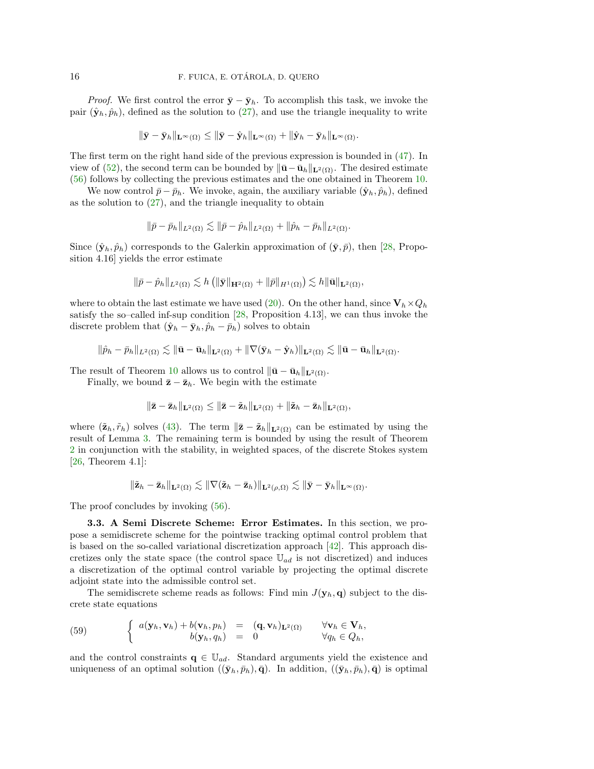*Proof.* We first control the error  $\bar{y} - \bar{y}_h$ . To accomplish this task, we invoke the pair  $(\hat{\mathbf{y}}_h, \hat{p}_h)$ , defined as the solution to [\(27\)](#page-8-6), and use the triangle inequality to write

$$
\|\bar {\bf y}-\bar {\bf y}_h\|_{{\bf L}^\infty(\Omega)}\leq \|\bar {\bf y}-\hat {\bf y}_h\|_{{\bf L}^\infty(\Omega)}+\|\hat {\bf y}_h-\bar {\bf y}_h\|_{{\bf L}^\infty(\Omega)}.
$$

The first term on the right hand side of the previous expression is bounded in [\(47\)](#page-12-2). In view of [\(52\)](#page-13-1), the second term can be bounded by  $\|\bar{\mathbf{u}} - \bar{\mathbf{u}}_h\|_{\mathbf{L}^2(\Omega)}$ . The desired estimate [\(56\)](#page-14-2) follows by collecting the previous estimates and the one obtained in Theorem [10.](#page-11-4)

We now control  $\bar{p} - \bar{p}_h$ . We invoke, again, the auxiliary variable  $(\hat{\mathbf{y}}_h, \hat{p}_h)$ , defined as the solution to  $(27)$ , and the triangle inequality to obtain

$$
\|\bar{p}-\bar{p}_h\|_{L^2(\Omega)} \lesssim \|\bar{p}-\hat{p}_h\|_{L^2(\Omega)} + \|\hat{p}_h-\bar{p}_h\|_{L^2(\Omega)}.
$$

Since  $(\hat{\mathbf{y}}_h, \hat{p}_h)$  corresponds to the Galerkin approximation of  $(\bar{\mathbf{y}}, \bar{p})$ , then [\[28,](#page-26-16) Proposition 4.16] yields the error estimate

$$
\|\bar{p}-\hat{p}_h\|_{L^2(\Omega)} \lesssim h\left(\|\bar{\mathbf{y}}\|_{\mathbf{H}^2(\Omega)} + \|\bar{p}\|_{H^1(\Omega)}\right) \lesssim h \|\bar{\mathbf{u}}\|_{\mathbf{L}^2(\Omega)},
$$

where to obtain the last estimate we have used [\(20\)](#page-6-6). On the other hand, since  $V_h \times Q_h$ satisfy the so–called inf-sup condition  $[28,$  Proposition 4.13], we can thus invoke the discrete problem that  $(\hat{\mathbf{y}}_h - \bar{\mathbf{y}}_h, \hat{p}_h - \bar{p}_h)$  solves to obtain

$$
\|\hat{p}_h-\bar{p}_h\|_{L^2(\Omega)}\lesssim \|\bar{\mathbf{u}}-\bar{\mathbf{u}}_h\|_{{\mathbf L}^2(\Omega)}+\|\nabla(\bar{\mathbf{y}}_h-\hat{\mathbf{y}}_h)\|_{{\mathbf L}^2(\Omega)}\lesssim \|\bar{\mathbf{u}}-\bar{\mathbf{u}}_h\|_{{\mathbf L}^2(\Omega)}.
$$

The result of Theorem [10](#page-11-4) allows us to control  $\|\bar{\mathbf{u}} - \bar{\mathbf{u}}_h\|_{\mathbf{L}^2(\Omega)}$ .

Finally, we bound  $\bar{z} - \bar{z}_h$ . We begin with the estimate

$$
\|\bar{\mathbf{z}}-\bar{\mathbf{z}}_h\|_{\mathbf{L}^2(\Omega)} \le \|\bar{\mathbf{z}}-\tilde{\mathbf{z}}_h\|_{\mathbf{L}^2(\Omega)} + \|\tilde{\mathbf{z}}_h-\bar{\mathbf{z}}_h\|_{\mathbf{L}^2(\Omega)},
$$

where  $(\tilde{\mathbf{z}}_h, \tilde{r}_h)$  solves [\(43\)](#page-12-6). The term  $\|\bar{\mathbf{z}} - \tilde{\mathbf{z}}_h\|_{\mathbf{L}^2(\Omega)}$  can be estimated by using the result of Lemma [3.](#page-6-7) The remaining term is bounded by using the result of Theorem [2](#page-5-1) in conjunction with the stability, in weighted spaces, of the discrete Stokes system  $[26,$  Theorem 4.1]:

$$
\|\tilde{\mathbf{z}}_h-\bar{\mathbf{z}}_h\|_{\mathbf{L}^2(\Omega)}\lesssim \|\nabla (\tilde{\mathbf{z}}_h-\bar{\mathbf{z}}_h)\|_{\mathbf{L}^2(\rho,\Omega)}\lesssim \|\bar{\mathbf{y}}-\bar{\mathbf{y}}_h\|_{\mathbf{L}^\infty(\Omega)}.
$$

The proof concludes by invoking  $(56)$ .

3.3. A Semi Discrete Scheme: Error Estimates. In this section, we propose a semidiscrete scheme for the pointwise tracking optimal control problem that is based on the so-called variational discretization approach  $[42]$ . This approach discretizes only the state space (the control space  $\mathbb{U}_{ad}$  is not discretized) and induces a discretization of the optimal control variable by projecting the optimal discrete adjoint state into the admissible control set.

The semidiscrete scheme reads as follows: Find min  $J(\mathbf{y}_h, \mathbf{q})$  subject to the discrete state equations

<span id="page-15-0"></span>(59) 
$$
\begin{cases} a(\mathbf{y}_h, \mathbf{v}_h) + b(\mathbf{v}_h, p_h) = (\mathbf{q}, \mathbf{v}_h)_{\mathbf{L}^2(\Omega)} & \forall \mathbf{v}_h \in \mathbf{V}_h, \\ b(\mathbf{y}_h, q_h) = 0 & \forall q_h \in Q_h, \end{cases}
$$

and the control constraints  $q \in \mathbb{U}_{ad}$ . Standard arguments yield the existence and uniqueness of an optimal solution  $((\bar{y}_h, \bar{p}_h), \bar{q})$ . In addition,  $((\bar{y}_h, \bar{p}_h), \bar{q})$  is optimal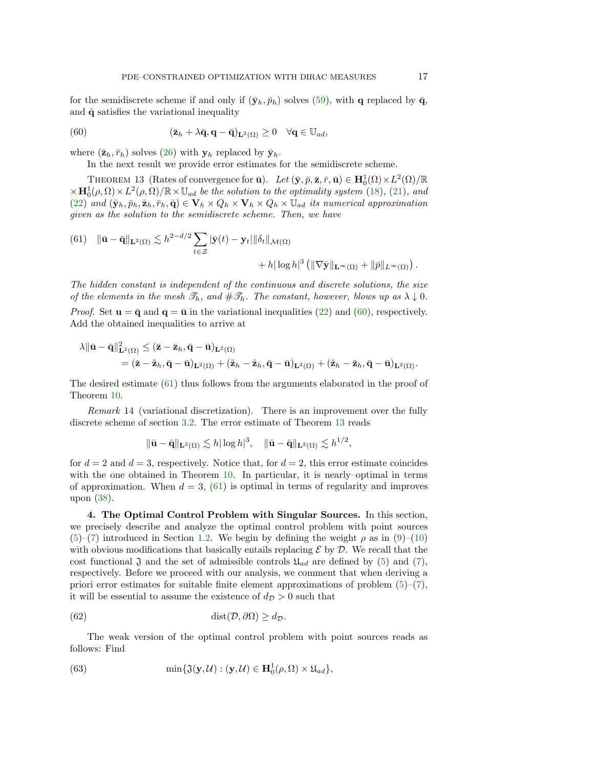for the semidiscrete scheme if and only if  $(\bar{\mathbf{y}}_h, \bar{p}_h)$  solves [\(59\)](#page-15-0), with **q** replaced by  $\bar{\mathbf{q}}$ , and  $\bar{\mathbf{q}}$  satisfies the variational inequality

(60) 
$$
(\bar{\mathbf{z}}_h + \lambda \bar{\mathbf{q}}, \mathbf{q} - \bar{\mathbf{q}})_{\mathbf{L}^2(\Omega)} \geq 0 \quad \forall \mathbf{q} \in \mathbb{U}_{ad},
$$

<span id="page-16-3"></span>where  $(\bar{\mathbf{z}}_h, \bar{r}_h)$  solves [\(26\)](#page-8-2) with  $\mathbf{y}_h$  replaced by  $\bar{\mathbf{y}}_h$ .

<span id="page-16-1"></span>In the next result we provide error estimates for the semidiscrete scheme.

THEOREM 13 (Rates of convergence for  $\bar{\mathbf{u}}$ ). Let  $(\bar{\mathbf{y}}, \bar{p}, \bar{\mathbf{z}}, \bar{r}, \bar{\mathbf{u}}) \in \mathbf{H}_{0}^{1}(\Omega) \times L^{2}(\Omega)/\mathbb{R}$  $\times \mathbf{H}_0^1(\rho,\Omega) \times L^2(\rho,\Omega)/\mathbb{R} \times \mathbb{U}_{ad}$  be the solution to the optimality system [\(18\)](#page-6-3), [\(21\)](#page-7-0), and [\(22\)](#page-7-1) and  $(\bar{\mathbf{y}}_h, \bar{p}_h, \bar{\mathbf{z}}_h, \bar{r}_h, \bar{\mathbf{q}}) \in \mathbf{V}_h \times Q_h \times \mathbf{V}_h \times Q_h \times \mathbb{U}_{ad}$  its numerical approximation given as the solution to the semidiscrete scheme. Then, we have

<span id="page-16-2"></span>(61) 
$$
\|\bar{\mathbf{u}} - \bar{\mathbf{q}}\|_{\mathbf{L}^2(\Omega)} \lesssim h^{2-d/2} \sum_{t \in \mathcal{Z}} |\bar{\mathbf{y}}(t) - \mathbf{y}_t| \|\delta_t\|_{\mathcal{M}(\Omega)} + h |\log h|^3 \left( \|\nabla \bar{\mathbf{y}}\|_{\mathbf{L}^\infty(\Omega)} + \|\bar{p}\|_{L^\infty(\Omega)} \right).
$$

The hidden constant is independent of the continuous and discrete solutions, the size of the elements in the mesh  $\mathcal{T}_h$ , and  $\#\mathcal{T}_h$ . The constant, however, blows up as  $\lambda \downarrow 0$ .

*Proof.* Set  $\mathbf{u} = \bar{\mathbf{q}}$  and  $\mathbf{q} = \bar{\mathbf{u}}$  in the variational inequalities [\(22\)](#page-7-1) and [\(60\)](#page-16-1), respectively. Add the obtained inequalities to arrive at

$$
\lambda \|\bar{\mathbf{u}} - \bar{\mathbf{q}}\|^2_{\mathbf{L}^2(\Omega)} \leq (\bar{\mathbf{z}} - \bar{\mathbf{z}}_h, \bar{\mathbf{q}} - \bar{\mathbf{u}})_{\mathbf{L}^2(\Omega)}
$$
  
= (\bar{\mathbf{z}} - \tilde{\mathbf{z}}\_h, \bar{\mathbf{q}} - \bar{\mathbf{u}})\_{\mathbf{L}^2(\Omega)} + (\tilde{\mathbf{z}}\_h - \hat{\mathbf{z}}\_h, \bar{\mathbf{q}} - \bar{\mathbf{u}})\_{\mathbf{L}^2(\Omega)} + (\hat{\mathbf{z}}\_h - \bar{\mathbf{z}}\_h, \bar{\mathbf{q}} - \bar{\mathbf{u}})\_{\mathbf{L}^2(\Omega)}.

The desired estimate [\(61\)](#page-16-2) thus follows from the arguments elaborated in the proof of Theorem [10.](#page-11-4)

Remark 14 (variational discretization). There is an improvement over the fully discrete scheme of section [3.2.](#page-7-3) The error estimate of Theorem [13](#page-16-3) reads

$$
\|\bar{\mathbf{u}} - \bar{\mathbf{q}}\|_{\mathbf{L}^2(\Omega)} \lesssim h |\log h|^3, \quad \|\bar{\mathbf{u}} - \bar{\mathbf{q}}\|_{\mathbf{L}^2(\Omega)} \lesssim h^{1/2},
$$

for  $d = 2$  and  $d = 3$ , respectively. Notice that, for  $d = 2$ , this error estimate coincides with the one obtained in Theorem [10.](#page-11-4) In particular, it is nearly–optimal in terms of approximation. When  $d = 3$ , [\(61\)](#page-16-2) is optimal in terms of regularity and improves upon [\(38\)](#page-11-5).

<span id="page-16-0"></span>4. The Optimal Control Problem with Singular Sources. In this section, we precisely describe and analyze the optimal control problem with point sources [\(5\)](#page-1-0)–[\(7\)](#page-2-0) introduced in Section [1.2.](#page-1-2) We begin by defining the weight  $\rho$  as in [\(9\)](#page-4-2)–[\(10\)](#page-4-3) with obvious modifications that basically entails replacing  $\mathcal E$  by  $\mathcal D$ . We recall that the cost functional  $\mathfrak J$  and the set of admissible controls  $\mathfrak{U}_{ad}$  are defined by [\(5\)](#page-1-0) and [\(7\)](#page-2-0), respectively. Before we proceed with our analysis, we comment that when deriving a priori error estimates for suitable finite element approximations of problem  $(5)-(7)$  $(5)-(7)$ , it will be essential to assume the existence of  $d_{\mathcal{D}} > 0$  such that

(62) 
$$
\operatorname{dist}(\mathcal{D}, \partial \Omega) \geq d_{\mathcal{D}}.
$$

The weak version of the optimal control problem with point sources reads as follows: Find

<span id="page-16-4"></span>(63) 
$$
\min\{\mathfrak{J}(\mathbf{y},\mathcal{U}):\,(\mathbf{y},\mathcal{U})\in\mathbf{H}_0^1(\rho,\Omega)\times\mathfrak{U}_{ad}\},
$$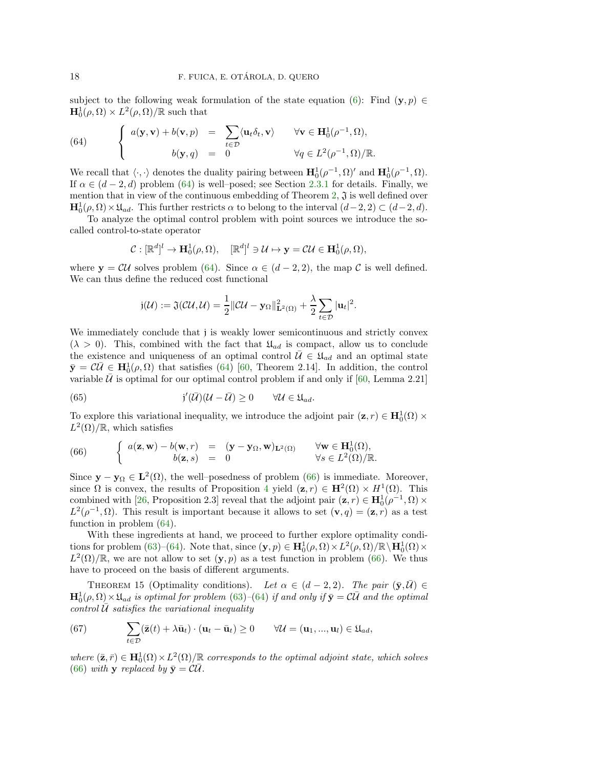subject to the following weak formulation of the state equation [\(6\)](#page-2-1): Find  $(\mathbf{y}, p) \in$  $\mathbf{H}_0^1(\rho,\Omega) \times L^2(\rho,\Omega)/\mathbb{R}$  such that

<span id="page-17-0"></span>(64) 
$$
\begin{cases} a(\mathbf{y}, \mathbf{v}) + b(\mathbf{v}, p) = \sum_{t \in \mathcal{D}} \langle \mathbf{u}_t \delta_t, \mathbf{v} \rangle & \forall \mathbf{v} \in \mathbf{H}_0^1(\rho^{-1}, \Omega), \\ b(\mathbf{y}, q) = 0 & \forall q \in L^2(\rho^{-1}, \Omega)/\mathbb{R}. \end{cases}
$$

We recall that  $\langle \cdot, \cdot \rangle$  denotes the duality pairing between  $\mathbf{H}_0^1(\rho^{-1}, \Omega)'$  and  $\mathbf{H}_0^1(\rho^{-1}, \Omega)$ . If  $\alpha \in (d-2, d)$  problem [\(64\)](#page-17-0) is well–posed; see Section [2.3.1](#page-4-4) for details. Finally, we mention that in view of the continuous embedding of Theorem [2,](#page-5-1)  $\mathfrak{J}$  is well defined over  $\mathbf{H}_{0}^{1}(\rho,\Omega) \times \mathfrak{U}_{ad}$ . This further restricts  $\alpha$  to belong to the interval  $(d-2, 2) \subset (d-2, d)$ .

To analyze the optimal control problem with point sources we introduce the socalled control-to-state operator

$$
\mathcal{C} : [\mathbb{R}^d]^l \to \mathbf{H}_0^1(\rho, \Omega), \quad [\mathbb{R}^d]^l \ni \mathcal{U} \mapsto \mathbf{y} = \mathcal{C}\mathcal{U} \in \mathbf{H}_0^1(\rho, \Omega),
$$

where  $y = \mathcal{C}\mathcal{U}$  solves problem [\(64\)](#page-17-0). Since  $\alpha \in (d-2, 2)$ , the map C is well defined. We can thus define the reduced cost functional

<span id="page-17-2"></span>
$$
\mathfrak{j}(\mathcal{U}) := \mathfrak{J}(\mathcal{CU}, \mathcal{U}) = \frac{1}{2} \|\mathcal{CU} - \mathbf{y}_{\Omega}\|_{\mathbf{L}^2(\Omega)}^2 + \frac{\lambda}{2} \sum_{t \in \mathcal{D}} |\mathbf{u}_t|^2.
$$

We immediately conclude that j is weakly lower semicontinuous and strictly convex  $(\lambda > 0)$ . This, combined with the fact that  $\mathfrak{U}_{ad}$  is compact, allow us to conclude the existence and uniqueness of an optimal control  $\mathcal{U} \in \mathfrak{U}_{ad}$  and an optimal state  $\bar{\mathbf{y}} = \mathcal{C}\bar{\mathcal{U}} \in \mathbf{H}_0^1(\rho, \Omega)$  that satisfies [\(64\)](#page-17-0) [\[60,](#page-27-12) Theorem 2.14]. In addition, the control variable  $\bar{U}$  is optimal for our optimal control problem if and only if [\[60,](#page-27-12) Lemma 2.21]

(65) 
$$
j'(\bar{U})(U-\bar{U}) \geq 0 \qquad \forall U \in \mathfrak{U}_{ad}.
$$

To explore this variational inequality, we introduce the adjoint pair  $(\mathbf{z}, r) \in \mathbf{H}_0^1(\Omega) \times$  $L^2(\Omega)/\mathbb{R}$ , which satisfies

<span id="page-17-1"></span>(66) 
$$
\begin{cases} a(\mathbf{z}, \mathbf{w}) - b(\mathbf{w}, r) = (\mathbf{y} - \mathbf{y}_{\Omega}, \mathbf{w})_{\mathbf{L}^2(\Omega)} & \forall \mathbf{w} \in \mathbf{H}_0^1(\Omega), \\ b(\mathbf{z}, s) = 0 & \forall s \in L^2(\Omega)/\mathbb{R}. \end{cases}
$$

Since  $y - y_0 \in L^2(\Omega)$ , the well-posedness of problem [\(66\)](#page-17-1) is immediate. Moreover, since  $\Omega$  is convex, the results of Proposition [4](#page-6-4) yield  $(\mathbf{z}, r) \in \mathbf{H}^2(\Omega) \times H^1(\Omega)$ . This combined with [\[26,](#page-26-6) Proposition 2.3] reveal that the adjoint pair  $(\mathbf{z}, r) \in \mathbf{H}_{0}^{1}(\rho^{-1}, \Omega) \times$  $L^2(\rho^{-1}, \Omega)$ . This result is important because it allows to set  $(\mathbf{v}, q) = (\mathbf{z}, r)$  as a test function in problem [\(64\)](#page-17-0).

With these ingredients at hand, we proceed to further explore optimality condi-tions for problem [\(63\)](#page-16-4)–[\(64\)](#page-17-0). Note that, since  $(\mathbf{y}, p) \in \mathbf{H}_{0}^{1}(\rho, \Omega) \times L^{2}(\rho, \Omega)/\mathbb{R} \setminus \mathbf{H}_{0}^{1}(\Omega) \times$  $L^2(\Omega)/\mathbb{R}$ , we are not allow to set  $(\mathbf{y}, p)$  as a test function in problem [\(66\)](#page-17-1). We thus have to proceed on the basis of different arguments.

THEOREM 15 (Optimality conditions). Let  $\alpha \in (d-2, 2)$ . The pair  $(\bar{y}, \bar{\mathcal{U}}) \in$  $H_0^1(\rho,\Omega) \times \mathfrak{U}_{ad}$  is optimal for problem [\(63\)](#page-16-4)–[\(64\)](#page-17-0) if and only if  $\bar{\mathbf{y}} = \mathcal{C} \bar{\mathcal{U}}$  and the optimal control  $\overline{U}$  satisfies the variational inequality

<span id="page-17-3"></span>(67) 
$$
\sum_{t \in \mathcal{D}} (\bar{\mathbf{z}}(t) + \lambda \bar{\mathbf{u}}_t) \cdot (\mathbf{u}_t - \bar{\mathbf{u}}_t) \ge 0 \qquad \forall \mathcal{U} = (\mathbf{u}_1, ..., \mathbf{u}_l) \in \mathfrak{U}_{ad},
$$

where  $(\bar{z}, \bar{r}) \in \mathbf{H}_{0}^{1}(\Omega) \times L^{2}(\Omega)/\mathbb{R}$  corresponds to the optimal adjoint state, which solves [\(66\)](#page-17-1) with **y** replaced by  $\bar{\mathbf{y}} = \mathcal{C}\mathcal{U}$ .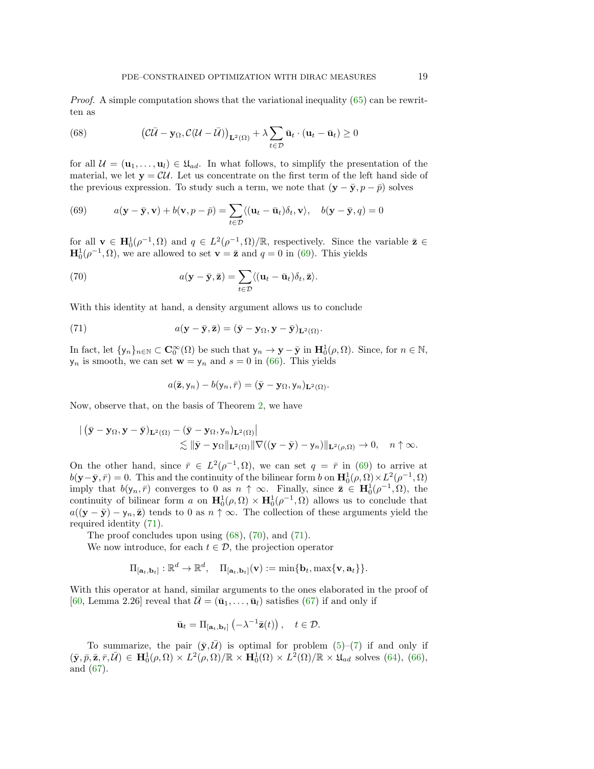Proof. A simple computation shows that the variational inequality [\(65\)](#page-17-2) can be rewritten as

<span id="page-18-2"></span>(68) 
$$
\left(\mathcal{C}\bar{\mathcal{U}} - \mathbf{y}_{\Omega}, \mathcal{C}(\mathcal{U} - \bar{\mathcal{U}})\right)_{\mathbf{L}^2(\Omega)} + \lambda \sum_{t \in \mathcal{D}} \bar{\mathbf{u}}_t \cdot (\mathbf{u}_t - \bar{\mathbf{u}}_t) \ge 0
$$

for all  $\mathcal{U} = (\mathbf{u}_1, \dots, \mathbf{u}_l) \in \mathfrak{U}_{ad}$ . In what follows, to simplify the presentation of the material, we let  $y = \mathcal{CU}$ . Let us concentrate on the first term of the left hand side of the previous expression. To study such a term, we note that  $(\mathbf{y} - \bar{\mathbf{y}}, p - \bar{p})$  solves

<span id="page-18-0"></span>(69) 
$$
a(\mathbf{y}-\bar{\mathbf{y}},\mathbf{v})+b(\mathbf{v},p-\bar{p})=\sum_{t\in\mathcal{D}}\langle(\mathbf{u}_t-\bar{\mathbf{u}}_t)\delta_t,\mathbf{v}\rangle, \quad b(\mathbf{y}-\bar{\mathbf{y}},q)=0
$$

for all  $\mathbf{v} \in \mathbf{H}_{0}^{1}(\rho^{-1}, \Omega)$  and  $q \in L^{2}(\rho^{-1}, \Omega)/\mathbb{R}$ , respectively. Since the variable  $\bar{\mathbf{z}} \in$  $\mathbf{H}_{0}^{1}(\rho^{-1}, \Omega)$ , we are allowed to set  $\mathbf{v} = \bar{\mathbf{z}}$  and  $q = 0$  in [\(69\)](#page-18-0). This yields

<span id="page-18-3"></span>(70) 
$$
a(\mathbf{y}-\bar{\mathbf{y}},\bar{\mathbf{z}})=\sum_{t\in\mathcal{D}}\langle(\mathbf{u}_t-\bar{\mathbf{u}}_t)\delta_t,\bar{\mathbf{z}}\rangle.
$$

With this identity at hand, a density argument allows us to conclude

(71) 
$$
a(\mathbf{y}-\bar{\mathbf{y}},\bar{\mathbf{z}})=(\bar{\mathbf{y}}-\mathbf{y}_{\Omega},\mathbf{y}-\bar{\mathbf{y}})_{\mathbf{L}^2(\Omega)}.
$$

In fact, let  $\{y_n\}_{n\in\mathbb{N}}\subset \mathbf{C}_0^{\infty}(\Omega)$  be such that  $y_n \to \mathbf{y}-\bar{\mathbf{y}}$  in  $\mathbf{H}_0^1(\rho,\Omega)$ . Since, for  $n\in\mathbb{N}$ ,  $y_n$  is smooth, we can set  $\mathbf{w} = y_n$  and  $s = 0$  in [\(66\)](#page-17-1). This yields

<span id="page-18-1"></span>
$$
a(\bar{\mathbf{z}}, \mathsf{y}_n) - b(\mathsf{y}_n, \bar{r}) = (\bar{\mathbf{y}} - \mathbf{y}_\Omega, \mathsf{y}_n)_{\mathbf{L}^2(\Omega)}.
$$

Now, observe that, on the basis of Theorem [2,](#page-5-1) we have

$$
\begin{aligned} &\left| \; \left( \bar{\mathbf{y}} - \mathbf{y}_{\Omega}, \mathbf{y} - \bar{\mathbf{y}} \right)_{\mathbf{L}^2(\Omega)} - \left( \bar{\mathbf{y}} - \mathbf{y}_{\Omega}, \mathbf{y}_n \right)_{\mathbf{L}^2(\Omega)} \right| \\ &\lesssim \left\| \bar{\mathbf{y}} - \mathbf{y}_{\Omega} \right\|_{\mathbf{L}^2(\Omega)} \left\| \nabla \left( (\mathbf{y} - \bar{\mathbf{y}}) - \mathbf{y}_n \right) \right\|_{\mathbf{L}^2(\rho, \Omega)} \to 0, \quad n \uparrow \infty. \end{aligned}
$$

On the other hand, since  $\bar{r} \in L^2(\rho^{-1}, \Omega)$ , we can set  $q = \bar{r}$  in [\(69\)](#page-18-0) to arrive at  $b(\mathbf{y}-\bar{\mathbf{y}},\bar{r})=0.$  This and the continuity of the bilinear form b on  $\mathbf{H}_0^1(\rho,\Omega)\times L^2(\rho^{-1},\Omega)$ imply that  $b(y_n, \bar{r})$  converges to 0 as  $n \uparrow \infty$ . Finally, since  $\bar{z} \in H_0^1(\rho^{-1}, \Omega)$ , the continuity of bilinear form a on  $\mathbf{H}_0^1(\rho,\Omega) \times \mathbf{H}_0^1(\rho^{-1},\Omega)$  allows us to conclude that  $a((y - \bar{y}) - y_n, \bar{z})$  tends to 0 as  $n \uparrow \infty$ . The collection of these arguments yield the required identity [\(71\)](#page-18-1).

The proof concludes upon using  $(68)$ ,  $(70)$ , and  $(71)$ .

We now introduce, for each  $t \in \mathcal{D}$ , the projection operator

$$
\Pi_{[\mathbf{a}_t, \mathbf{b}_t]} : \mathbb{R}^d \to \mathbb{R}^d, \quad \Pi_{[\mathbf{a}_t, \mathbf{b}_t]}(\mathbf{v}) := \min\{\mathbf{b}_t, \max\{\mathbf{v}, \mathbf{a}_t\}\}.
$$

With this operator at hand, similar arguments to the ones elaborated in the proof of [\[60,](#page-27-12) Lemma 2.26] reveal that  $\bar{\mathcal{U}} = (\bar{\mathbf{u}}_1, \dots, \bar{\mathbf{u}}_l)$  satisfies [\(67\)](#page-17-3) if and only if

$$
\bar{\mathbf{u}}_t = \Pi_{\left[\mathbf{a}_t, \mathbf{b}_t\right]} \left(-\lambda^{-1} \bar{\mathbf{z}}(t)\right), \quad t \in \mathcal{D}.
$$

To summarize, the pair  $(\bar{y}, \bar{\mathcal{U}})$  is optimal for problem [\(5\)](#page-1-0)–[\(7\)](#page-2-0) if and only if  $(\bar{y}, \bar{p}, \bar{z}, \bar{r}, \bar{\mathcal{U}}) \in \mathbf{H}_{0}^{1}(\rho, \Omega) \times L^{2}(\rho, \Omega)/\mathbb{R} \times \mathbf{H}_{0}^{1}(\Omega) \times L^{2}(\Omega)/\mathbb{R} \times \mathfrak{U}_{ad}$  solves [\(64\)](#page-17-0), [\(66\)](#page-17-1), and [\(67\)](#page-17-3).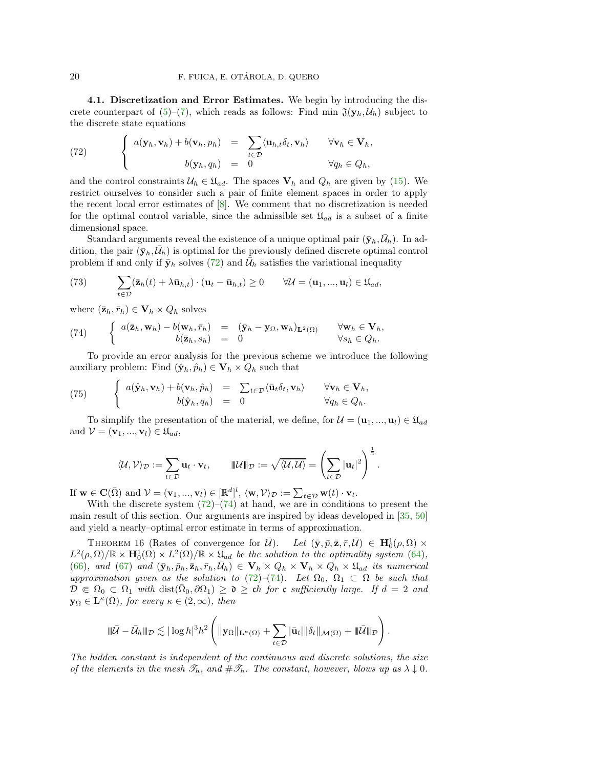4.1. Discretization and Error Estimates. We begin by introducing the discrete counterpart of  $(5)-(7)$  $(5)-(7)$ , which reads as follows: Find min  $\mathfrak{J}(\mathbf{y}_h, \mathcal{U}_h)$  subject to the discrete state equations

<span id="page-19-0"></span>(72) 
$$
\begin{cases} a(\mathbf{y}_h, \mathbf{v}_h) + b(\mathbf{v}_h, p_h) = \sum_{t \in \mathcal{D}} \langle \mathbf{u}_{h,t} \delta_t, \mathbf{v}_h \rangle & \forall \mathbf{v}_h \in \mathbf{V}_h, \\ b(\mathbf{y}_h, q_h) = 0 & \forall q_h \in Q_h, \end{cases}
$$

and the control constraints  $U_h \in \mathfrak{U}_{ad}$ . The spaces  $V_h$  and  $Q_h$  are given by [\(15\)](#page-6-2). We restrict ourselves to consider such a pair of finite element spaces in order to apply the recent local error estimates of [\[8\]](#page-25-11). We comment that no discretization is needed for the optimal control variable, since the admissible set  $\mathfrak{U}_{ad}$  is a subset of a finite dimensional space.

Standard arguments reveal the existence of a unique optimal pair  $(\bar{y}_h, \bar{\mathcal{U}}_h)$ . In addition, the pair  $(\bar{y}_h, \bar{\mathcal{U}}_h)$  is optimal for the previously defined discrete optimal control problem if and only if  $\bar{y}_h$  solves [\(72\)](#page-19-0) and  $\bar{\mathcal{U}}_h$  satisfies the variational inequality

<span id="page-19-2"></span>(73) 
$$
\sum_{t \in \mathcal{D}} (\bar{\mathbf{z}}_h(t) + \lambda \bar{\mathbf{u}}_{h,t}) \cdot (\mathbf{u}_t - \bar{\mathbf{u}}_{h,t}) \ge 0 \qquad \forall \mathcal{U} = (\mathbf{u}_1, ..., \mathbf{u}_l) \in \mathfrak{U}_{ad},
$$

where  $(\bar{\mathbf{z}}_h, \bar{r}_h) \in \mathbf{V}_h \times Q_h$  solves

<span id="page-19-1"></span>(74) 
$$
\begin{cases} a(\bar{\mathbf{z}}_h, \mathbf{w}_h) - b(\mathbf{w}_h, \bar{r}_h) = (\bar{\mathbf{y}}_h - \mathbf{y}_\Omega, \mathbf{w}_h)_{\mathbf{L}^2(\Omega)} & \forall \mathbf{w}_h \in \mathbf{V}_h, \\ b(\bar{\mathbf{z}}_h, s_h) = 0 & \forall s_h \in Q_h. \end{cases}
$$

To provide an error analysis for the previous scheme we introduce the following auxiliary problem: Find  $(\hat{\mathbf{y}}_h, \hat{p}_h) \in \mathbf{V}_h \times Q_h$  such that

<span id="page-19-3"></span>(75) 
$$
\begin{cases} a(\hat{\mathbf{y}}_h, \mathbf{v}_h) + b(\mathbf{v}_h, \hat{p}_h) = \sum_{t \in \mathcal{D}} \langle \bar{\mathbf{u}}_t \delta_t, \mathbf{v}_h \rangle & \forall \mathbf{v}_h \in \mathbf{V}_h, \\ b(\hat{\mathbf{y}}_h, q_h) = 0 & \forall q_h \in Q_h. \end{cases}
$$

To simplify the presentation of the material, we define, for  $\mathcal{U} = (\mathbf{u}_1, ..., \mathbf{u}_l) \in \mathfrak{U}_{ad}$ and  $\mathcal{V} = (\mathbf{v}_1, ..., \mathbf{v}_l) \in \mathfrak{U}_{ad}$ ,

$$
\langle \mathcal{U}, \mathcal{V} \rangle_{\mathcal{D}} := \sum_{t \in \mathcal{D}} \mathbf{u}_t \cdot \mathbf{v}_t, \qquad \|\mathcal{U}\|_{\mathcal{D}} := \sqrt{\langle \mathcal{U}, \mathcal{U} \rangle} = \left( \sum_{t \in \mathcal{D}} |\mathbf{u}_t|^2 \right)^{\frac{1}{2}}.
$$

If  $\mathbf{w} \in \mathbf{C}(\bar{\Omega})$  and  $\mathcal{V} = (\mathbf{v}_1, ..., \mathbf{v}_l) \in [\mathbb{R}^d]^l$ ,  $\langle \mathbf{w}, \mathcal{V} \rangle_{\mathcal{D}} := \sum_{t \in \mathcal{D}} \mathbf{w}(t) \cdot \mathbf{v}_t$ .

With the discrete system  $(72)-(74)$  $(72)-(74)$  at hand, we are in conditions to present the main result of this section. Our arguments are inspired by ideas developed in [\[35,](#page-26-5) [50\]](#page-27-13) and yield a nearly–optimal error estimate in terms of approximation.

<span id="page-19-4"></span>THEOREM 16 (Rates of convergence for  $\overline{U}$ ). Let  $(\overline{y}, \overline{p}, \overline{z}, \overline{r}, \overline{U}) \in H_0^1(\rho, \Omega) \times$  $L^2(\rho,\Omega)/\mathbb{R} \times \mathbf{H}_0^1(\Omega) \times L^2(\Omega)/\mathbb{R} \times \mathfrak{U}_{ad}$  be the solution to the optimality system [\(64\)](#page-17-0), [\(66\)](#page-17-1), and [\(67\)](#page-17-3) and  $(\bar{\mathbf{y}}_h, \bar{p}_h, \bar{\mathbf{z}}_h, \bar{r}_h, \bar{\mathcal{U}}_h) \in \mathbf{V}_h \times Q_h \times \mathbf{V}_h \times Q_h \times \mathfrak{U}_{ad}$  its numerical approximation given as the solution to [\(72\)](#page-19-0)–[\(74\)](#page-19-1). Let  $\Omega_0$ ,  $\Omega_1 \subset \Omega$  be such that  $\overline{\mathcal{D}} \Subset \Omega_0 \subset \Omega_1$  with  $dist(\overline{\Omega}_0, \partial \Omega_1) \geq \mathfrak{d} \geq \overline{ch}$  for c sufficiently large. If  $d = 2$  and  $y_{\Omega} \in \mathbf{L}^{\kappa}(\Omega)$ , for every  $\kappa \in (2,\infty)$ , then

$$
\|\bar{U}-\bar{\mathcal{U}}_h\|_{\mathcal{D}} \lesssim |\log h|^3h^2\left(\|\mathbf{y}_{\Omega}\|_{\mathbf{L}^{\kappa}(\Omega)}+\sum_{t\in\mathcal{D}}|\bar{\mathbf{u}}_t|\|\delta_t\|_{\mathcal{M}(\Omega)}+\|\bar{\mathcal{U}}\|_{\mathcal{D}}\right).
$$

The hidden constant is independent of the continuous and discrete solutions, the size of the elements in the mesh  $\mathcal{T}_h$ , and  $\#\mathcal{T}_h$ . The constant, however, blows up as  $\lambda \downarrow 0$ .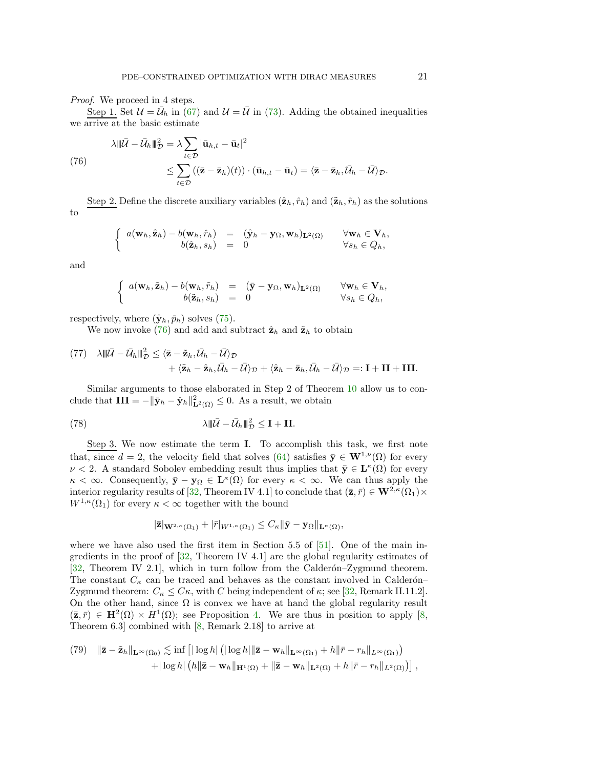## Proof. We proceed in 4 steps.

Step 1. Set  $\mathcal{U} = \bar{\mathcal{U}}_h$  in [\(67\)](#page-17-3) and  $\mathcal{U} = \bar{\mathcal{U}}$  in [\(73\)](#page-19-2). Adding the obtained inequalities we arrive at the basic estimate

<span id="page-20-0"></span>(76)  

$$
\lambda \|\vec{U} - \vec{U}_h\|_{\mathcal{D}}^2 = \lambda \sum_{t \in \mathcal{D}} |\bar{\mathbf{u}}_{h,t} - \bar{\mathbf{u}}_t|^2
$$

$$
\leq \sum_{t \in \mathcal{D}} ((\bar{\mathbf{z}} - \bar{\mathbf{z}}_h)(t)) \cdot (\bar{\mathbf{u}}_{h,t} - \bar{\mathbf{u}}_t) = \langle \bar{\mathbf{z}} - \bar{\mathbf{z}}_h, \bar{\mathcal{U}}_h - \bar{\mathcal{U}} \rangle_{\mathcal{D}}.
$$

Step 2. Define the discrete auxiliary variables  $(\hat{\mathbf{z}}_h, \hat{r}_h)$  and  $(\tilde{\mathbf{z}}_h, \tilde{r}_h)$  as the solutions to

$$
\left\{\begin{array}{rcl} a(\mathbf{w}_h, \hat{\mathbf{z}}_h) - b(\mathbf{w}_h, \hat{r}_h) & = & (\hat{\mathbf{y}}_h - \mathbf{y}_{\Omega}, \mathbf{w}_h)_{\mathbf{L}^2(\Omega)} & \forall \mathbf{w}_h \in \mathbf{V}_h, \\ b(\hat{\mathbf{z}}_h, s_h) & = & 0 & \forall s_h \in Q_h, \end{array}\right.
$$

and

$$
\left\{\begin{array}{rcl} a(\mathbf{w}_h, \tilde{\mathbf{z}}_h) - b(\mathbf{w}_h, \tilde{r}_h) & = & (\bar{\mathbf{y}} - \mathbf{y}_\Omega, \mathbf{w}_h)_{\mathbf{L}^2(\Omega)} & \forall \mathbf{w}_h \in \mathbf{V}_h, \\ b(\tilde{\mathbf{z}}_h, s_h) & = & 0 & \forall s_h \in Q_h, \end{array}\right.
$$

respectively, where  $(\hat{\mathbf{y}}_h, \hat{p}_h)$  solves [\(75\)](#page-19-3).

We now invoke [\(76\)](#page-20-0) and add and subtract  $\hat{\mathbf{z}}_h$  and  $\tilde{\mathbf{z}}_h$  to obtain

<span id="page-20-1"></span>
$$
\begin{aligned} (77) \quad &\lambda \|\bar{U}-\bar{U}_h\|_D^2 \leq \langle \bar{\mathbf{z}}-\tilde{\mathbf{z}}_h, \bar{U}_h-\bar{U}\rangle_{\mathcal{D}} \\ &+ \langle \tilde{\mathbf{z}}_h-\hat{\mathbf{z}}_h, \bar{U}_h-\bar{U}\rangle_{\mathcal{D}} + \langle \hat{\mathbf{z}}_h-\bar{\mathbf{z}}_h, \bar{U}_h-\bar{U}\rangle_{\mathcal{D}} =: \mathbf{I}+\mathbf{II}+\mathbf{III}. \end{aligned}
$$

Similar arguments to those elaborated in Step 2 of Theorem [10](#page-11-4) allow us to conclude that  $III = -\|\bar{\mathbf{y}}_h - \hat{\mathbf{y}}_h\|_{\mathbf{L}^2(\Omega)}^2 \leq 0$ . As a result, we obtain

(78) 
$$
\lambda \|\bar{U} - \bar{U}_h\|_{\mathcal{D}}^2 \leq \mathbf{I} + \mathbf{II}.
$$

Step 3. We now estimate the term I. To accomplish this task, we first note that, since  $d = 2$ , the velocity field that solves [\(64\)](#page-17-0) satisfies  $\bar{y} \in W^{1,\nu}(\Omega)$  for every  $\nu < 2$ . A standard Sobolev embedding result thus implies that  $\bar{y} \in L^{\kappa}(\Omega)$  for every  $\kappa < \infty$ . Consequently,  $\bar{\mathbf{y}} - \mathbf{y}_{\Omega} \in \mathbf{L}^{\kappa}(\Omega)$  for every  $\kappa < \infty$ . We can thus apply the interior regularity results of [\[32,](#page-26-12) Theorem IV 4.1] to conclude that  $(\bar{z}, \bar{r}) \in W^{2,\kappa}(\Omega_1) \times$  $W^{1,\kappa}(\Omega_1)$  for every  $\kappa < \infty$  together with the bound

<span id="page-20-2"></span>
$$
|\bar{\mathbf{z}}|_{\mathbf{W}^{2,\kappa}(\Omega_1)} + |\bar{r}|_{W^{1,\kappa}(\Omega_1)} \leq C_{\kappa} \|\bar{\mathbf{y}} - \mathbf{y}_{\Omega}\|_{\mathbf{L}^{\kappa}(\Omega)},
$$

where we have also used the first item in Section 5.5 of  $[51]$ . One of the main ingredients in the proof of [\[32,](#page-26-12) Theorem IV 4.1] are the global regularity estimates of  $[32,$  Theorem IV 2.1, which in turn follow from the Calderon–Zygmund theorem. The constant  $C_{\kappa}$  can be traced and behaves as the constant involved in Calderón– Zygmund theorem:  $C_{\kappa} \leq C\kappa$ , with C being independent of  $\kappa$ ; see [\[32,](#page-26-12) Remark II.11.2]. On the other hand, since  $\Omega$  is convex we have at hand the global regularity result  $(\bar{z}, \bar{r}) \in H^2(\Omega) \times H^1(\Omega)$ ; see Proposition [4.](#page-6-4) We are thus in position to apply [\[8,](#page-25-11) Theorem 6.3] combined with [\[8,](#page-25-11) Remark 2.18] to arrive at

(79) 
$$
\|\bar{\mathbf{z}} - \tilde{\mathbf{z}}_h\|_{\mathbf{L}^{\infty}(\Omega_0)} \lesssim \inf \left[ |\log h| \left( |\log h| \|\bar{\mathbf{z}} - \mathbf{w}_h\|_{\mathbf{L}^{\infty}(\Omega_1)} + h \|\bar{r} - r_h\|_{L^{\infty}(\Omega_1)} \right) + |\log h| \left( h \|\bar{\mathbf{z}} - \mathbf{w}_h\|_{\mathbf{H}^1(\Omega)} + \|\bar{\mathbf{z}} - \mathbf{w}_h\|_{\mathbf{L}^2(\Omega)} + h \|\bar{r} - r_h\|_{L^2(\Omega)} \right) \right],
$$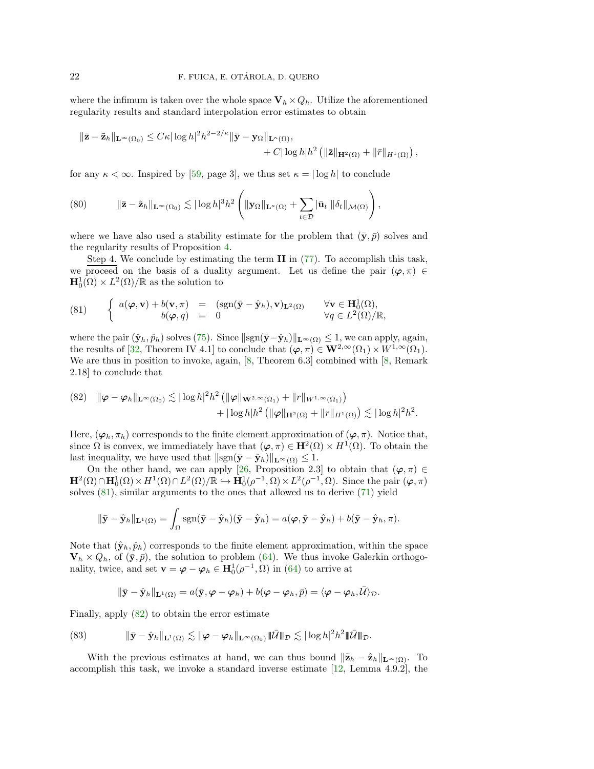where the infimum is taken over the whole space  $V_h \times Q_h$ . Utilize the aforementioned regularity results and standard interpolation error estimates to obtain

$$
\|\bar{\mathbf{z}} - \tilde{\mathbf{z}}_h\|_{\mathbf{L}^{\infty}(\Omega_0)} \leq C\kappa |\log h|^2 h^{2-2/\kappa} \|\bar{\mathbf{y}} - \mathbf{y}_{\Omega}\|_{\mathbf{L}^{\kappa}(\Omega)},
$$
  
+ C |\log h| h^{2} (||\bar{\mathbf{z}}||\_{\mathbf{H}^2(\Omega)} + ||\bar{r}||\_{H^1(\Omega)}),

for any  $\kappa < \infty$ . Inspired by [\[59,](#page-27-15) page 3], we thus set  $\kappa = |\log h|$  to conclude

<span id="page-21-3"></span>(80) 
$$
\|\bar{\mathbf{z}} - \tilde{\mathbf{z}}_h\|_{\mathbf{L}^{\infty}(\Omega_0)} \lesssim |\log h|^3 h^2 \left( \|\mathbf{y}_{\Omega}\|_{\mathbf{L}^{\kappa}(\Omega)} + \sum_{t \in \mathcal{D}} |\bar{\mathbf{u}}_t| \|\delta_t\|_{\mathcal{M}(\Omega)} \right),
$$

where we have also used a stability estimate for the problem that  $(\bar{y}, \bar{p})$  solves and the regularity results of Proposition [4.](#page-6-4)

Step 4. We conclude by estimating the term II in [\(77\)](#page-20-1). To accomplish this task, we proceed on the basis of a duality argument. Let us define the pair  $(\varphi, \pi) \in$  $\mathbf{H}_0^1(\Omega) \times L^2(\Omega)/\mathbb{R}$  as the solution to

<span id="page-21-0"></span>(81) 
$$
\begin{cases} a(\boldsymbol{\varphi}, \mathbf{v}) + b(\mathbf{v}, \pi) = (\text{sgn}(\bar{\mathbf{y}} - \hat{\mathbf{y}}_h), \mathbf{v})_{\mathbf{L}^2(\Omega)} & \forall \mathbf{v} \in \mathbf{H}_0^1(\Omega), \\ b(\boldsymbol{\varphi}, q) = 0 & \forall q \in L^2(\Omega)/\mathbb{R}, \end{cases}
$$

where the pair  $(\hat{\mathbf{y}}_h, \hat{p}_h)$  solves [\(75\)](#page-19-3). Since  $||\text{sgn}(\bar{\mathbf{y}}-\hat{\mathbf{y}}_h)||_{\mathbf{L}^{\infty}(\Omega)} \leq 1$ , we can apply, again, the results of [\[32,](#page-26-12) Theorem IV 4.1] to conclude that  $(\varphi, \pi) \in \mathbf{W}^{2,\infty}(\Omega_1) \times W^{1,\infty}(\Omega_1)$ . We are thus in position to invoke, again, [\[8,](#page-25-11) Theorem 6.3] combined with [\[8,](#page-25-11) Remark 2.18] to conclude that

<span id="page-21-1"></span>
$$
(82) \quad \|\boldsymbol{\varphi}-\boldsymbol{\varphi}_h\|_{\mathbf{L}^{\infty}(\Omega_0)} \lesssim |\log h|^2 h^2 \left( \|\boldsymbol{\varphi}\|_{\mathbf{W}^{2,\infty}(\Omega_1)} + \|r\|_{W^{1,\infty}(\Omega_1)} \right) + |\log h| h^2 \left( \|\boldsymbol{\varphi}\|_{\mathbf{H}^2(\Omega)} + \|r\|_{H^1(\Omega)} \right) \lesssim |\log h|^2 h^2.
$$

Here,  $(\varphi_h, \pi_h)$  corresponds to the finite element approximation of  $(\varphi, \pi)$ . Notice that, since  $\Omega$  is convex, we immediately have that  $(\varphi, \pi) \in \mathbf{H}^2(\Omega) \times H^1(\Omega)$ . To obtain the last inequality, we have used that  $||sgn(\bar{y} - \hat{y}_h)||_{\mathbf{L}^{\infty}(\Omega)} \leq 1$ .

On the other hand, we can apply [\[26,](#page-26-6) Proposition 2.3] to obtain that  $(\varphi, \pi) \in$  $\mathbf{H}^2(\Omega) \cap \mathbf{H}_0^1(\Omega) \times H^1(\Omega) \cap L^2(\Omega) / \mathbb{R} \hookrightarrow \mathbf{H}_0^1(\rho^{-1}, \Omega) \times L^2(\rho^{-1}, \Omega)$ . Since the pair  $(\varphi, \pi)$ solves [\(81\)](#page-21-0), similar arguments to the ones that allowed us to derive [\(71\)](#page-18-1) yield

$$
\|\bar{\mathbf{y}} - \hat{\mathbf{y}}_h\|_{\mathbf{L}^1(\Omega)} = \int_{\Omega} \text{sgn}(\bar{\mathbf{y}} - \hat{\mathbf{y}}_h)(\bar{\mathbf{y}} - \hat{\mathbf{y}}_h) = a(\boldsymbol{\varphi}, \bar{\mathbf{y}} - \hat{\mathbf{y}}_h) + b(\bar{\mathbf{y}} - \hat{\mathbf{y}}_h, \pi).
$$

Note that  $(\hat{\mathbf{y}}_h, \hat{p}_h)$  corresponds to the finite element approximation, within the space  $\mathbf{V}_h \times Q_h$ , of  $(\bar{\mathbf{y}}, \bar{p})$ , the solution to problem [\(64\)](#page-17-0). We thus invoke Galerkin orthogonality, twice, and set  $\mathbf{v} = \boldsymbol{\varphi} - \boldsymbol{\varphi}_h \in \mathbf{H}_0^1(\rho^{-1}, \Omega)$  in [\(64\)](#page-17-0) to arrive at

<span id="page-21-2"></span>
$$
\|\bar{\mathbf{y}}-\hat{\mathbf{y}}_h\|_{\mathbf{L}^1(\Omega)}=a(\bar{\mathbf{y}},\boldsymbol{\varphi}-\boldsymbol{\varphi}_h)+b(\boldsymbol{\varphi}-\boldsymbol{\varphi}_h,\bar{p})=\langle \boldsymbol{\varphi}-\boldsymbol{\varphi}_h,\bar{\mathcal{U}}\rangle_{\mathcal{D}}.
$$

Finally, apply [\(82\)](#page-21-1) to obtain the error estimate

(83) 
$$
\|\bar{\mathbf{y}} - \hat{\mathbf{y}}_h\|_{\mathbf{L}^1(\Omega)} \lesssim \|\varphi - \varphi_h\|_{\mathbf{L}^\infty(\Omega_0)} \|\bar{\mathcal{U}}\|_{\mathcal{D}} \lesssim |\log h|^2 h^2 |\bar{\mathcal{U}}\|_{\mathcal{D}}.
$$

With the previous estimates at hand, we can thus bound  $\|\tilde{\mathbf{z}}_h - \hat{\mathbf{z}}_h\|_{\mathbf{L}^{\infty}(\Omega)}$ . To accomplish this task, we invoke a standard inverse estimate [\[12,](#page-25-9) Lemma 4.9.2], the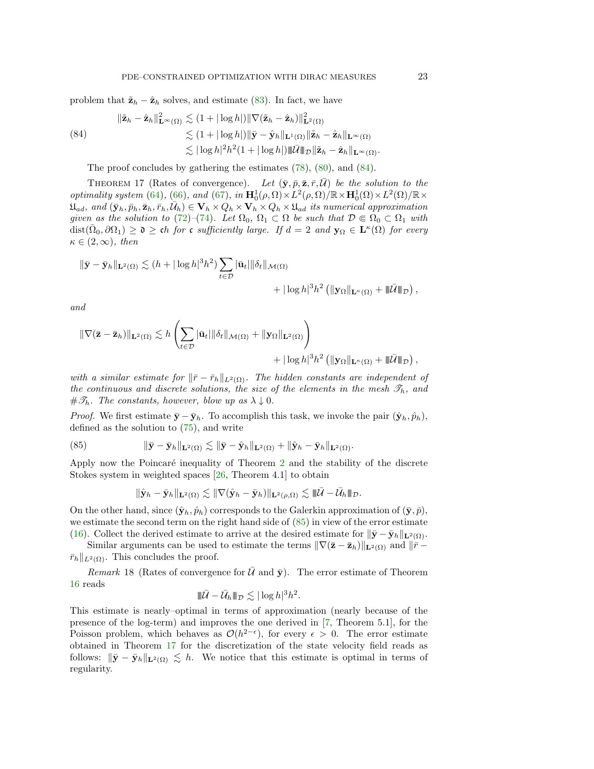problem that  $\tilde{\mathbf{z}}_h - \hat{\mathbf{z}}_h$  solves, and estimate [\(83\)](#page-21-2). In fact, we have

<span id="page-22-0"></span>
$$
\|\tilde{\mathbf{z}}_h - \hat{\mathbf{z}}_h\|_{\mathbf{L}^{\infty}(\Omega)}^2 \lesssim (1 + |\log h|) \|\nabla(\tilde{\mathbf{z}}_h - \hat{\mathbf{z}}_h)\|_{\mathbf{L}^2(\Omega)}^2
$$
  
\n
$$
\lesssim (1 + |\log h|) \|\bar{\mathbf{y}} - \hat{\mathbf{y}}_h\|_{\mathbf{L}^1(\Omega)} \|\tilde{\mathbf{z}}_h - \hat{\mathbf{z}}_h\|_{\mathbf{L}^{\infty}(\Omega)}
$$
  
\n
$$
\lesssim |\log h|^2 h^2 (1 + |\log h|) \|\bar{\mathbf{U}}\|_{\mathcal{D}} \|\tilde{\mathbf{z}}_h - \hat{\mathbf{z}}_h\|_{\mathbf{L}^{\infty}(\Omega)}.
$$

The proof concludes by gathering the estimates  $(78)$ ,  $(80)$ , and  $(84)$ .

<span id="page-22-2"></span>THEOREM 17 (Rates of convergence). Let  $(\bar{y}, \bar{p}, \bar{z}, \bar{r}, \bar{U})$  be the solution to the optimality system [\(64\)](#page-17-0), [\(66\)](#page-17-1), and [\(67\)](#page-17-3), in  $\mathbf{H}_0^1(\rho,\Omega) \times L^2(\rho,\Omega)/\mathbb{R} \times \mathbf{H}_0^1(\Omega) \times L^2(\Omega)/\mathbb{R} \times$  $\mathfrak{U}_{ad}$ , and  $(\bar{\mathbf{y}}_h, \bar{p}_h, \bar{\mathbf{z}}_h, \bar{r}_h, \bar{\mathcal{U}}_h) \in \mathbf{V}_h \times Q_h \times \mathbf{V}_h \times Q_h \times \mathfrak{U}_{ad}$  its numerical approximation given as the solution to [\(72\)](#page-19-0)–[\(74\)](#page-19-1). Let  $\Omega_0$ ,  $\Omega_1 \subset \Omega$  be such that  $\mathcal{D} \in \Omega_0 \subset \Omega_1$  with  $dist(\bar{\Omega}_0, \partial \Omega_1) \geq \mathfrak{d} \geq \mathfrak{ch}$  for c sufficiently large. If  $d = 2$  and  $\mathbf{y}_\Omega \in \mathbf{L}^{\kappa}(\Omega)$  for every  $\kappa \in (2,\infty)$ , then

$$
\|\bar{\mathbf{y}} - \bar{\mathbf{y}}_h\|_{\mathbf{L}^2(\Omega)} \lesssim (h + |\log h|^3 h^2) \sum_{t \in \mathcal{D}} |\bar{\mathbf{u}}_t| \|\delta_t\|_{\mathcal{M}(\Omega)} + |\log h|^3 h^2 \left( \|\mathbf{y}_{\Omega}\|_{\mathbf{L}^{\kappa}(\Omega)} + \|\bar{\mathcal{U}}\|_{\mathcal{D}} \right),
$$

and

$$
\begin{aligned} \|\nabla (\bar{\mathbf{z}}-\bar{\mathbf{z}}_h)\|_{\mathbf{L}^2(\Omega)} &\lesssim h \left( \sum_{t\in\mathcal{D}} |\bar{\mathbf{u}}_t| \|\delta_t\|_{\mathcal{M}(\Omega)} + \|\mathbf{y}_{\Omega}\|_{\mathbf{L}^2(\Omega)} \right) \\ &+ |\log h|^3 h^2 \left( \|\mathbf{y}_{\Omega}\|_{\mathbf{L}^{\kappa}(\Omega)} + \|\bar{\mathcal{U}}\|_{\mathcal{D}} \right), \end{aligned}
$$

with a similar estimate for  $\|\bar{r} - \bar{r}_h\|_{L^2(\Omega)}$ . The hidden constants are independent of the continuous and discrete solutions, the size of the elements in the mesh  $\mathcal{T}_h$ , and  $\#\mathscr{T}_h$ . The constants, however, blow up as  $\lambda \downarrow 0$ .

*Proof.* We first estimate  $\bar{y} - \bar{y}_h$ . To accomplish this task, we invoke the pair  $(\hat{y}_h, \hat{p}_h)$ , defined as the solution to [\(75\)](#page-19-3), and write

(85) 
$$
\|\bar{\mathbf{y}} - \bar{\mathbf{y}}_h\|_{\mathbf{L}^2(\Omega)} \lesssim \|\bar{\mathbf{y}} - \hat{\mathbf{y}}_h\|_{\mathbf{L}^2(\Omega)} + \|\hat{\mathbf{y}}_h - \bar{\mathbf{y}}_h\|_{\mathbf{L}^2(\Omega)}.
$$

Apply now the Poincaré inequality of Theorem [2](#page-5-1) and the stability of the discrete Stokes system in weighted spaces [\[26,](#page-26-6) Theorem 4.1] to obtain

<span id="page-22-1"></span>
$$
\|\hat{\mathbf{y}}_h-\bar{\mathbf{y}}_h\|_{\mathbf{L}^2(\Omega)}\lesssim \|\nabla(\hat{\mathbf{y}}_h-\bar{\mathbf{y}}_h)\|_{\mathbf{L}^2(\rho,\Omega)}\lesssim \|\bar{{\cal U}}-\bar{{\cal U}}_h\|_{\mathcal{D}}.
$$

On the other hand, since  $(\hat{\mathbf{y}}_h, \hat{p}_h)$  corresponds to the Galerkin approximation of  $(\bar{\mathbf{y}}, \bar{p})$ , we estimate the second term on the right hand side of [\(85\)](#page-22-1) in view of the error estimate [\(16\)](#page-6-8). Collect the derived estimate to arrive at the desired estimate for  $\|\bar{\mathbf{y}} - \bar{\mathbf{y}}_h\|_{\mathbf{L}^2(\Omega)}$ .

Similar arguments can be used to estimate the terms  $\|\nabla(\bar{z} - \bar{z}_h)\|_{\mathbf{L}^2(\Omega)}$  and  $\|\bar{r} - z_h\|$  $\bar{r}_h||_{L^2(\Omega)}$ . This concludes the proof.

Remark 18 (Rates of convergence for  $\bar{U}$  and  $\bar{y}$ ). The error estimate of Theorem [16](#page-19-4) reads

$$
\|\bar{U}-\bar{U}_h\|_{\mathcal{D}} \lesssim |\log h|^3 h^2.
$$

This estimate is nearly–optimal in terms of approximation (nearly because of the presence of the log-term) and improves the one derived in [\[7,](#page-25-3) Theorem 5.1], for the Poisson problem, which behaves as  $\mathcal{O}(h^{2-\epsilon})$ , for every  $\epsilon > 0$ . The error estimate obtained in Theorem [17](#page-22-2) for the discretization of the state velocity field reads as follows:  $\|\bar{\mathbf{y}} - \bar{\mathbf{y}}_h\|_{\mathbf{L}^2(\Omega)} \lesssim h$ . We notice that this estimate is optimal in terms of regularity.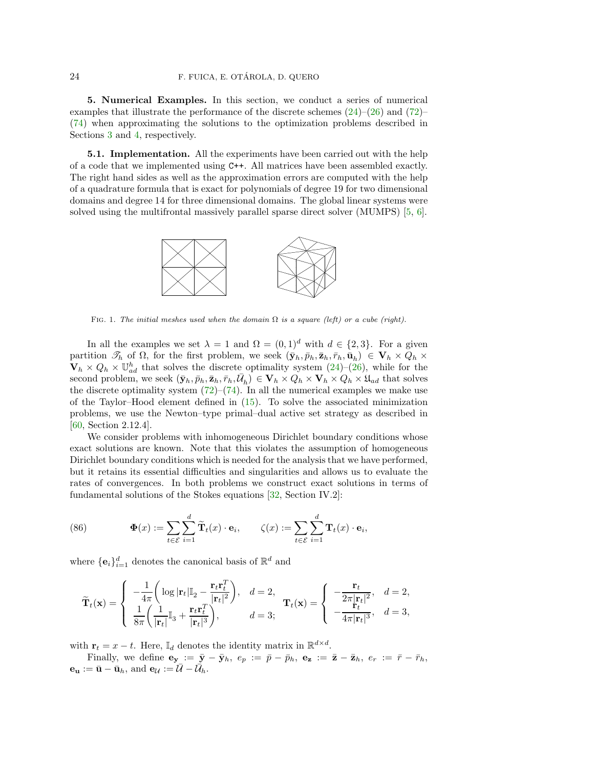<span id="page-23-0"></span>5. Numerical Examples. In this section, we conduct a series of numerical examples that illustrate the performance of the discrete schemes  $(24)$ – $(26)$  and  $(72)$ – [\(74\)](#page-19-1) when approximating the solutions to the optimization problems described in Sections [3](#page-6-0) and [4,](#page-16-0) respectively.

**5.1. Implementation.** All the experiments have been carried out with the help of a code that we implemented using C++. All matrices have been assembled exactly. The right hand sides as well as the approximation errors are computed with the help of a quadrature formula that is exact for polynomials of degree 19 for two dimensional domains and degree 14 for three dimensional domains. The global linear systems were solved using the multifrontal massively parallel sparse direct solver (MUMPS) [\[5,](#page-25-12) [6\]](#page-25-13).



FIG. 1. The initial meshes used when the domain  $\Omega$  is a square (left) or a cube (right).

In all the examples we set  $\lambda = 1$  and  $\Omega = (0, 1)^d$  with  $d \in \{2, 3\}$ . For a given partition  $\mathscr{T}_h$  of  $\Omega$ , for the first problem, we seek  $(\bar{\mathbf{y}}_h, \bar{p}_h, \bar{\mathbf{z}}_h, \bar{r}_h, \bar{\mathbf{u}}_h) \in \mathbf{V}_h \times Q_h \times$  $\mathbf{V}_h \times Q_h \times \mathbb{U}_{ad}^h$  that solves the discrete optimality system  $(24)-(26)$  $(24)-(26)$ , while for the second problem, we seek  $(\bar{\mathbf{y}}_h, \bar{p}_h, \bar{\mathbf{z}}_h, \bar{r}_h, \bar{\mathcal{U}}_h) \in \mathbf{V}_h \times Q_h \times \mathbf{V}_h \times Q_h \times \mathfrak{U}_{ad}$  that solves the discrete optimality system  $(72)$ – $(74)$ . In all the numerical examples we make use of the Taylor–Hood element defined in [\(15\)](#page-6-2). To solve the associated minimization problems, we use the Newton–type primal–dual active set strategy as described in [\[60,](#page-27-12) Section 2.12.4].

We consider problems with inhomogeneous Dirichlet boundary conditions whose exact solutions are known. Note that this violates the assumption of homogeneous Dirichlet boundary conditions which is needed for the analysis that we have performed, but it retains its essential difficulties and singularities and allows us to evaluate the rates of convergences. In both problems we construct exact solutions in terms of fundamental solutions of the Stokes equations [\[32,](#page-26-12) Section IV.2]:

<span id="page-23-1"></span>(86) 
$$
\Phi(x) := \sum_{t \in \mathcal{E}} \sum_{i=1}^d \widetilde{\mathbf{T}}_t(x) \cdot \mathbf{e}_i, \qquad \zeta(x) := \sum_{t \in \mathcal{E}} \sum_{i=1}^d \mathbf{T}_t(x) \cdot \mathbf{e}_i,
$$

where  $\{\mathbf e_i\}_{i=1}^d$  denotes the canonical basis of  $\mathbb R^d$  and

$$
\widetilde{\mathbf{T}}_t(\mathbf{x}) = \begin{cases}\n-\frac{1}{4\pi} \left( \log |\mathbf{r}_t| \mathbb{I}_2 - \frac{\mathbf{r}_t \mathbf{r}_t^T}{|\mathbf{r}_t|^2} \right), & d = 2, \\
\frac{1}{8\pi} \left( \frac{1}{|\mathbf{r}_t|} \mathbb{I}_3 + \frac{\mathbf{r}_t \mathbf{r}_t^T}{|\mathbf{r}_t|^3} \right), & d = 3; \\
0, & d = 3;\n\end{cases}\n\mathbf{T}_t(\mathbf{x}) = \begin{cases}\n-\frac{\mathbf{r}_t}{2\pi |\mathbf{r}_t|^2}, & d = 2, \\
-\frac{\mathbf{r}_t}{4\pi |\mathbf{r}_t|^3}, & d = 3,\n\end{cases}
$$

with  $\mathbf{r}_t = x - t$ . Here,  $\mathbb{I}_d$  denotes the identity matrix in  $\mathbb{R}^{d \times d}$ .

Finally, we define  $\mathbf{e}_{\mathbf{y}} := \bar{\mathbf{y}} - \bar{\mathbf{y}}_h$ ,  $e_p := \bar{p} - \bar{p}_h$ ,  $\mathbf{e}_{\mathbf{z}} := \bar{\mathbf{z}} - \bar{\mathbf{z}}_h$ ,  $e_r := \bar{r} - \bar{r}_h$ ,  $\mathbf{e}_{\mathbf{u}} := \bar{\mathbf{u}} - \bar{\mathbf{u}}_h$ , and  $\mathbf{e}_{\mathcal{U}} := \bar{\mathcal{U}} - \bar{\mathcal{U}}_h$ .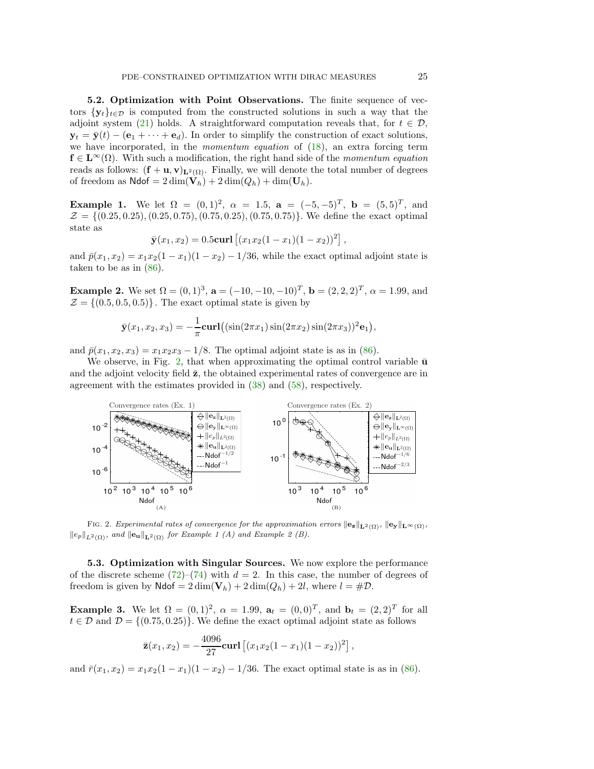5.2. Optimization with Point Observations. The finite sequence of vectors  $\{y_t\}_{t\in\mathcal{D}}$  is computed from the constructed solutions in such a way that the adjoint system [\(21\)](#page-7-0) holds. A straightforward computation reveals that, for  $t \in \mathcal{D}$ ,  $\mathbf{y}_t = \bar{\mathbf{y}}(t) - (\mathbf{e}_1 + \cdots + \mathbf{e}_d)$ . In order to simplify the construction of exact solutions, we have incorporated, in the momentum equation of [\(18\)](#page-6-3), an extra forcing term  $f \in L^{\infty}(\Omega)$ . With such a modification, the right hand side of the momentum equation reads as follows:  $(f + u, v)_{L^2(\Omega)}$ . Finally, we will denote the total number of degrees of freedom as  $\text{Ndof} = 2 \dim(\mathbf{V}_h) + 2 \dim(Q_h) + \dim(\mathbf{U}_h).$ 

**Example 1.** We let  $\Omega = (0,1)^2$ ,  $\alpha = 1.5$ ,  $\mathbf{a} = (-5,-5)^T$ ,  $\mathbf{b} = (5,5)^T$ , and  $\mathcal{Z} = \{ (0.25, 0.25), (0.25, 0.75), (0.75, 0.25), (0.75, 0.75) \}.$  We define the exact optimal state as

$$
\bar{\mathbf{y}}(x_1, x_2) = 0.5 \text{curl} [(x_1 x_2 (1 - x_1)(1 - x_2))^2]
$$

,

and  $\bar{p}(x_1, x_2) = x_1x_2(1-x_1)(1-x_2) - 1/36$ , while the exact optimal adjoint state is taken to be as in [\(86\)](#page-23-1).

**Example 2.** We set  $\Omega = (0, 1)^3$ ,  $\mathbf{a} = (-10, -10, -10)^T$ ,  $\mathbf{b} = (2, 2, 2)^T$ ,  $\alpha = 1.99$ , and  $\mathcal{Z} = \{(0.5, 0.5, 0.5)\}\.$  The exact optimal state is given by

$$
\bar{\mathbf{y}}(x_1, x_2, x_3) = -\frac{1}{\pi} \mathbf{curl}((\sin(2\pi x_1)\sin(2\pi x_2)\sin(2\pi x_3))^2 \mathbf{e}_1),
$$

and  $\bar{p}(x_1, x_2, x_3) = x_1x_2x_3 - 1/8$ . The optimal adjoint state is as in [\(86\)](#page-23-1).

We observe, in Fig. [2,](#page-24-0) that when approximating the optimal control variable  $\bar{u}$ and the adjoint velocity field  $\bar{z}$ , the obtained experimental rates of convergence are in agreement with the estimates provided in [\(38\)](#page-11-5) and [\(58\)](#page-14-3), respectively.

<span id="page-24-0"></span>

FIG. 2. Experimental rates of convergence for the approximation errors  $\|\mathbf{e_z}\|_{\mathbf{L}^2(\Omega)}$ ,  $\|\mathbf{e_y}\|_{\mathbf{L}^{\infty}(\Omega)}$ ,  $||e_p||_{L^2(\Omega)}$ , and  $||e_{\mathbf{u}}||_{\mathbf{L}^2(\Omega)}$  for Example 1 (A) and Example 2 (B).

5.3. Optimization with Singular Sources. We now explore the performance of the discrete scheme  $(72)-(74)$  $(72)-(74)$  with  $d=2$ . In this case, the number of degrees of freedom is given by  $\text{Ndof} = 2 \dim(V_h) + 2 \dim(Q_h) + 2l$ , where  $l = \text{\#D}$ .

**Example 3.** We let  $\Omega = (0,1)^2$ ,  $\alpha = 1.99$ ,  $\mathbf{a}_t = (0,0)^T$ , and  $\mathbf{b}_t = (2,2)^T$  for all  $t \in \mathcal{D}$  and  $\mathcal{D} = \{(0.75, 0.25)\}\.$  We define the exact optimal adjoint state as follows

$$
\bar{\mathbf{z}}(x_1,x_2) = -\frac{4096}{27} \mathbf{curl} \left[ (x_1 x_2 (1 - x_1)(1 - x_2))^2 \right],
$$

and  $\bar{r}(x_1, x_2) = x_1x_2(1-x_1)(1-x_2) - 1/36$ . The exact optimal state is as in [\(86\)](#page-23-1).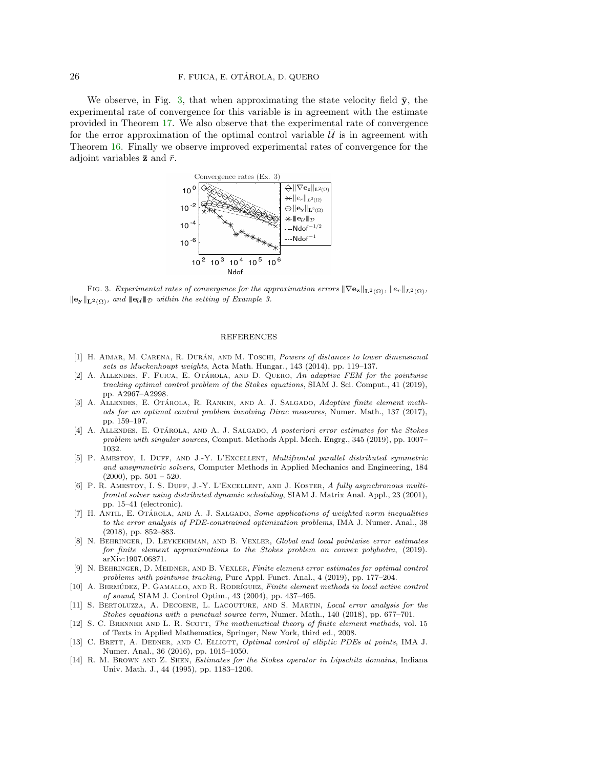We observe, in Fig. [3,](#page-25-14) that when approximating the state velocity field  $\bar{y}$ , the experimental rate of convergence for this variable is in agreement with the estimate provided in Theorem [17.](#page-22-2) We also observe that the experimental rate of convergence for the error approximation of the optimal control variable  $U$  is in agreement with Theorem [16.](#page-19-4) Finally we observe improved experimental rates of convergence for the adjoint variables  $\bar{z}$  and  $\bar{r}$ .

<span id="page-25-14"></span>

FIG. 3. Experimental rates of convergence for the approximation errors  $\|\nabla \mathbf{e}_\mathbf{z}\|_{\mathbf{L}^2(\Omega)}$ ,  $\|e_r\|_{L^2(\Omega)}$ ,  $\|\mathbf{e}_{\mathbf{y}}\|_{\mathbf{L}^2(\Omega)}$ , and  $\|\mathbf{e}_{\mathcal{U}}\|_{\mathcal{D}}$  within the setting of Example 3.

## REFERENCES

- <span id="page-25-7"></span>[1] H. AIMAR, M. CARENA, R. DURÁN, AND M. TOSCHI, Powers of distances to lower dimensional sets as Muckenhoupt weights, Acta Math. Hungar., 143 (2014), pp. 119–137.
- <span id="page-25-10"></span>[2] A. ALLENDES, F. FUICA, E. OTÁROLA, AND D. QUERO, An adaptive FEM for the pointwise tracking optimal control problem of the Stokes equations, SIAM J. Sci. Comput., 41 (2019), pp. A2967–A2998.
- <span id="page-25-8"></span>[3] A. ALLENDES, E. OTÁROLA, R. RANKIN, AND A. J. SALGADO, Adaptive finite element methods for an optimal control problem involving Dirac measures, Numer. Math., 137 (2017), pp. 159–197.
- <span id="page-25-6"></span>[4] A. ALLENDES, E. OTÁROLA, AND A. J. SALGADO, A posteriori error estimates for the Stokes problem with singular sources, Comput. Methods Appl. Mech. Engrg., 345 (2019), pp. 1007– 1032.
- <span id="page-25-12"></span>[5] P. Amestoy, I. Duff, and J.-Y. L'Excellent, Multifrontal parallel distributed symmetric and unsymmetric solvers, Computer Methods in Applied Mechanics and Engineering, 184 (2000), pp. 501 – 520.
- <span id="page-25-13"></span>[6] P. R. Amestoy, I. S. Duff, J.-Y. L'Excellent, and J. Koster, A fully asynchronous multifrontal solver using distributed dynamic scheduling, SIAM J. Matrix Anal. Appl., 23 (2001), pp. 15–41 (electronic).
- <span id="page-25-3"></span>[7] H. ANTIL, E. OTÁROLA, AND A. J. SALGADO, Some applications of weighted norm inequalities to the error analysis of PDE-constrained optimization problems, IMA J. Numer. Anal., 38 (2018), pp. 852–883.
- <span id="page-25-11"></span>[8] N. Behringer, D. Leykekhman, and B. Vexler, Global and local pointwise error estimates for finite element approximations to the Stokes problem on convex polyhedra, (2019). arXiv:1907.06871.
- <span id="page-25-4"></span>[9] N. BEHRINGER, D. MEIDNER, AND B. VEXLER, Finite element error estimates for optimal control problems with pointwise tracking, Pure Appl. Funct. Anal., 4 (2019), pp. 177–204.
- <span id="page-25-0"></span>[10] A. BERMÚDEZ, P. GAMALLO, AND R. RODRÍGUEZ, Finite element methods in local active control of sound, SIAM J. Control Optim., 43 (2004), pp. 437–465.
- <span id="page-25-5"></span>[11] S. BERTOLUZZA, A. DECOENE, L. LACOUTURE, AND S. MARTIN, Local error analysis for the Stokes equations with a punctual source term, Numer. Math., 140 (2018), pp. 677–701.
- <span id="page-25-9"></span>[12] S. C. BRENNER AND L. R. SCOTT, The mathematical theory of finite element methods, vol. 15 of Texts in Applied Mathematics, Springer, New York, third ed., 2008.
- <span id="page-25-1"></span>[13] C. BRETT, A. DEDNER, AND C. ELLIOTT, Optimal control of elliptic PDEs at points, IMA J. Numer. Anal., 36 (2016), pp. 1015–1050.
- <span id="page-25-2"></span>[14] R. M. BROWN AND Z. SHEN, *Estimates for the Stokes operator in Lipschitz domains*, Indiana Univ. Math. J., 44 (1995), pp. 1183–1206.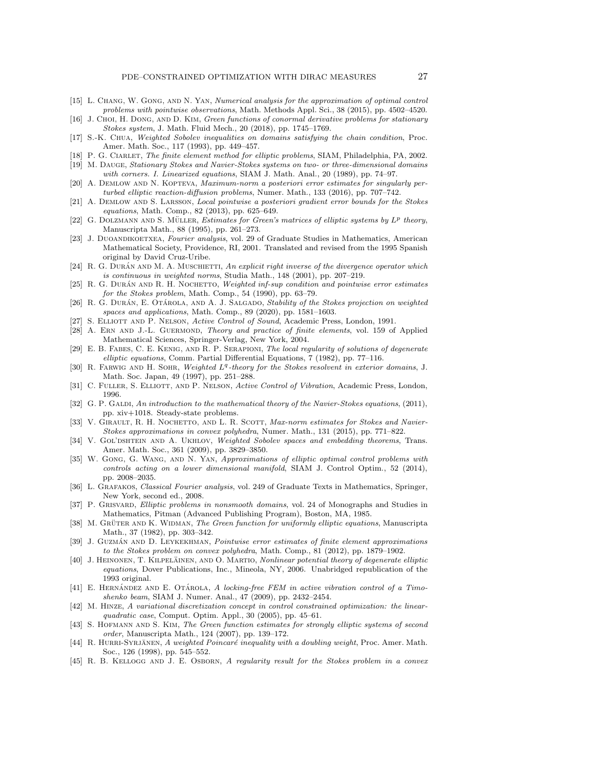- <span id="page-26-3"></span>[15] L. CHANG, W. GONG, AND N. YAN, *Numerical analysis for the approximation of optimal control* problems with pointwise observations, Math. Methods Appl. Sci., 38 (2015), pp. 4502–4520.
- <span id="page-26-25"></span>[16] J. CHOI, H. DONG, AND D. KIM, Green functions of conormal derivative problems for stationary Stokes system, J. Math. Fluid Mech., 20 (2018), pp. 1745–1769.
- <span id="page-26-10"></span>[17] S.-K. Chua, Weighted Sobolev inequalities on domains satisfying the chain condition, Proc. Amer. Math. Soc., 117 (1993), pp. 449–457.
- <span id="page-26-19"></span><span id="page-26-15"></span>[18] P. G. CIARLET, The finite element method for elliptic problems, SIAM, Philadelphia, PA, 2002. [19] M. Dauge, Stationary Stokes and Navier-Stokes systems on two- or three-dimensional domains
- <span id="page-26-24"></span>with corners. I. Linearized equations, SIAM J. Math. Anal., 20 (1989), pp. 74–97.
- [20] A. DEMLOW AND N. KOPTEVA, Maximum-norm a posteriori error estimates for singularly perturbed elliptic reaction-diffusion problems, Numer. Math., 133 (2016), pp. 707–742.
- <span id="page-26-4"></span>[21] A. Demlow and S. Larsson, Local pointwise a posteriori gradient error bounds for the Stokes equations, Math. Comp., 82 (2013), pp. 625–649.
- <span id="page-26-22"></span>[22] G. DOLZMANN AND S. MÜLLER, Estimates for Green's matrices of elliptic systems by  $L^p$  theory, Manuscripta Math., 88 (1995), pp. 261–273.
- <span id="page-26-7"></span>[23] J. DUOANDIKOETXEA, Fourier analysis, vol. 29 of Graduate Studies in Mathematics, American Mathematical Society, Providence, RI, 2001. Translated and revised from the 1995 Spanish original by David Cruz-Uribe.
- <span id="page-26-29"></span>[24] R. G. DURÁN AND M. A. MUSCHIETTI, An explicit right inverse of the divergence operator which is continuous in weighted norms, Studia Math., 148 (2001), pp. 207–219.
- <span id="page-26-28"></span>[25] R. G. DURÁN AND R. H. NOCHETTO, Weighted inf-sup condition and pointwise error estimates for the Stokes problem, Math. Comp., 54 (1990), pp. 63–79.
- <span id="page-26-6"></span>[26] R. G. DURÁN, E. OTÁROLA, AND A. J. SALGADO, Stability of the Stokes projection on weighted spaces and applications, Math. Comp., 89 (2020), pp. 1581–1603.
- <span id="page-26-16"></span><span id="page-26-0"></span>[27] S. ELLIOTT AND P. NELSON, Active Control of Sound, Academic Press, London, 1991.
- [28] A. ERN AND J.-L. GUERMOND, Theory and practice of finite elements, vol. 159 of Applied Mathematical Sciences, Springer-Verlag, New York, 2004.
- <span id="page-26-8"></span>[29] E. B. Fabes, C. E. Kenig, and R. P. Serapioni, The local regularity of solutions of degenerate elliptic equations, Comm. Partial Differential Equations, 7 (1982), pp. 77–116.
- <span id="page-26-13"></span>[30] R. FARWIG AND H. SOHR, Weighted  $L<sup>q</sup>$ -theory for the Stokes resolvent in exterior domains, J. Math. Soc. Japan, 49 (1997), pp. 251–288.
- <span id="page-26-12"></span><span id="page-26-1"></span>[31] C. FULLER, S. ELLIOTT, AND P. NELSON, Active Control of Vibration, Academic Press, London, 1996.
- [32] G. P. GALDI, An introduction to the mathematical theory of the Navier-Stokes equations, (2011), pp. xiv+1018. Steady-state problems.
- <span id="page-26-27"></span>[33] V. GIRAULT, R. H. NOCHETTO, AND L. R. SCOTT, Max-norm estimates for Stokes and Navier-Stokes approximations in convex polyhedra, Numer. Math., 131 (2015), pp. 771–822.
- <span id="page-26-9"></span>[34] V. GOL'DSHTEIN AND A. UKHLOV, Weighted Sobolev spaces and embedding theorems, Trans. Amer. Math. Soc., 361 (2009), pp. 3829–3850.
- <span id="page-26-5"></span>[35] W. GONG, G. WANG, AND N. YAN, Approximations of elliptic optimal control problems with controls acting on a lower dimensional manifold, SIAM J. Control Optim., 52 (2014), pp. 2008–2035.
- <span id="page-26-23"></span>[36] L. Grafakos, Classical Fourier analysis, vol. 249 of Graduate Texts in Mathematics, Springer, New York, second ed., 2008.
- <span id="page-26-18"></span>[37] P. GRISVARD, *Elliptic problems in nonsmooth domains*, vol. 24 of Monographs and Studies in Mathematics, Pitman (Advanced Publishing Program), Boston, MA, 1985.
- <span id="page-26-20"></span>[38] M. GRÜTER AND K. WIDMAN, The Green function for uniformly elliptic equations, Manuscripta Math., 37 (1982), pp. 303–342.
- <span id="page-26-26"></span>[39] J. GUZMÁN AND D. LEYKEKHMAN, Pointwise error estimates of finite element approximations to the Stokes problem on convex polyhedra, Math. Comp., 81 (2012), pp. 1879–1902.
- <span id="page-26-14"></span>[40] J. HEINONEN, T. KILPELÄINEN, AND O. MARTIO, Nonlinear potential theory of degenerate elliptic equations, Dover Publications, Inc., Mineola, NY, 2006. Unabridged republication of the 1993 original.
- <span id="page-26-2"></span> $[41]$  E. HERNÁNDEZ AND E. OTÁROLA, A locking-free FEM in active vibration control of a Timoshenko beam, SIAM J. Numer. Anal., 47 (2009), pp. 2432–2454.
- <span id="page-26-30"></span>[42] M. Hinze, A variational discretization concept in control constrained optimization: the linearquadratic case, Comput. Optim. Appl., 30 (2005), pp. 45–61.
- <span id="page-26-21"></span>[43] S. HOFMANN AND S. KIM, The Green function estimates for strongly elliptic systems of second order, Manuscripta Math., 124 (2007), pp. 139–172.
- <span id="page-26-11"></span>[44] R. HURRI-SYRJANEN, A weighted Poincaré inequality with a doubling weight, Proc. Amer. Math. Soc., 126 (1998), pp. 545–552.
- <span id="page-26-17"></span>[45] R. B. Kellogg and J. E. Osborn, A regularity result for the Stokes problem in a convex